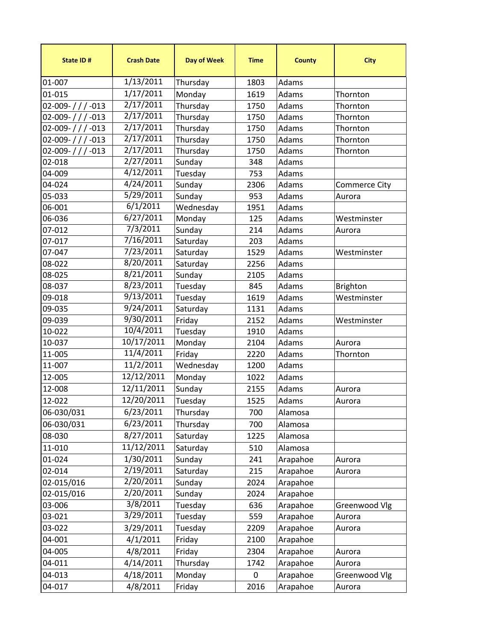| State ID#      | <b>Crash Date</b>   | <b>Day of Week</b> | <b>Time</b> | <b>County</b> | <b>City</b>          |
|----------------|---------------------|--------------------|-------------|---------------|----------------------|
| 01-007         | 1/13/2011           | Thursday           | 1803        | Adams         |                      |
| 01-015         | 1/17/2011           | Monday             | 1619        | Adams         | Thornton             |
| 02-009-///-013 | 2/17/2011           | Thursday           | 1750        | Adams         | Thornton             |
| 02-009-///-013 | 2/17/2011           | Thursday           | 1750        | Adams         | Thornton             |
| 02-009-///-013 | 2/17/2011           | Thursday           | 1750        | Adams         | Thornton             |
| 02-009-///-013 | 2/17/2011           | Thursday           | 1750        | Adams         | Thornton             |
| 02-009-///-013 | 2/17/2011           | Thursday           | 1750        | Adams         | Thornton             |
| 02-018         | 2/27/2011           | Sunday             | 348         | Adams         |                      |
| 04-009         | 4/12/2011           | Tuesday            | 753         | Adams         |                      |
| 04-024         | 4/24/2011           | Sunday             | 2306        | Adams         | <b>Commerce City</b> |
| 05-033         | 5/29/2011           | Sunday             | 953         | Adams         | Aurora               |
| 06-001         | 6/1/2011            | Wednesday          | 1951        | Adams         |                      |
| 06-036         | 6/27/2011           | Monday             | 125         | Adams         | Westminster          |
| 07-012         | 7/3/2011            | Sunday             | 214         | Adams         | Aurora               |
| 07-017         | 7/16/2011           | Saturday           | 203         | Adams         |                      |
| 07-047         | 7/23/2011           | Saturday           | 1529        | Adams         | Westminster          |
| 08-022         | 8/20/2011           | Saturday           | 2256        | Adams         |                      |
| 08-025         | $\frac{8}{21}/2011$ | Sunday             | 2105        | Adams         |                      |
| 08-037         | 8/23/2011           | Tuesday            | 845         | Adams         | <b>Brighton</b>      |
| 09-018         | 9/13/2011           | Tuesday            | 1619        | Adams         | Westminster          |
| 09-035         | 9/24/2011           | Saturday           | 1131        | Adams         |                      |
| 09-039         | 9/30/2011           | Friday             | 2152        | Adams         | Westminster          |
| 10-022         | 10/4/2011           | Tuesday            | 1910        | Adams         |                      |
| 10-037         | 10/17/2011          | Monday             | 2104        | Adams         | Aurora               |
| 11-005         | 11/4/2011           | Friday             | 2220        | Adams         | Thornton             |
| 11-007         | 11/2/2011           | Wednesday          | 1200        | Adams         |                      |
| 12-005         | 12/12/2011          | Monday             | 1022        | Adams         |                      |
| 12-008         | 12/11/2011          | Sunday             | 2155        | Adams         | Aurora               |
| 12-022         | 12/20/2011          | Tuesday            | 1525        | Adams         | Aurora               |
| 06-030/031     | 6/23/2011           | Thursday           | 700         | Alamosa       |                      |
| 06-030/031     | 6/23/2011           | Thursday           | 700         | Alamosa       |                      |
| 08-030         | 8/27/2011           | Saturday           | 1225        | Alamosa       |                      |
| 11-010         | 11/12/2011          | Saturday           | 510         | Alamosa       |                      |
| 01-024         | 1/30/2011           | Sunday             | 241         | Arapahoe      | Aurora               |
| 02-014         | 2/19/2011           | Saturday           | 215         | Arapahoe      | Aurora               |
| 02-015/016     | $\frac{2}{20/2011}$ | Sunday             | 2024        | Arapahoe      |                      |
| 02-015/016     | 2/20/2011           | Sunday             | 2024        | Arapahoe      |                      |
| 03-006         | 3/8/2011            | Tuesday            | 636         | Arapahoe      | Greenwood Vlg        |
| 03-021         | 3/29/2011           | Tuesday            | 559         | Arapahoe      | Aurora               |
| 03-022         | 3/29/2011           | Tuesday            | 2209        | Arapahoe      | Aurora               |
| 04-001         | 4/1/2011            | Friday             | 2100        | Arapahoe      |                      |
| 04-005         | 4/8/2011            | Friday             | 2304        | Arapahoe      | Aurora               |
| 04-011         | 4/14/2011           | Thursday           | 1742        | Arapahoe      | Aurora               |
| 04-013         | 4/18/2011           | Monday             | 0           | Arapahoe      | Greenwood Vlg        |
| 04-017         |                     |                    |             |               |                      |
|                | 4/8/2011            | Friday             | 2016        | Arapahoe      | Aurora               |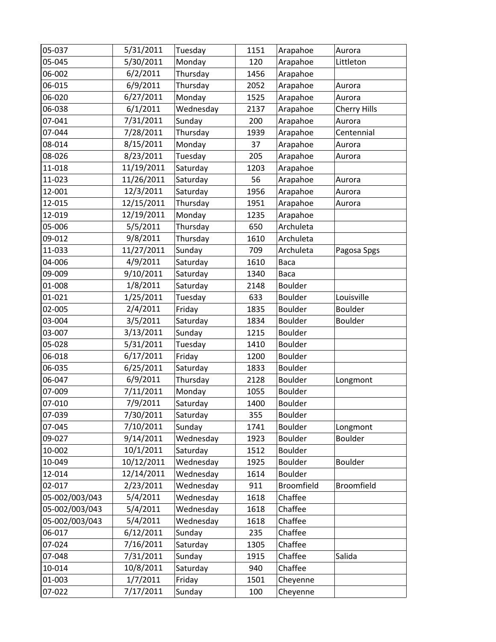| 05-037         | 5/31/2011  | Tuesday   | 1151 | Arapahoe       | Aurora         |
|----------------|------------|-----------|------|----------------|----------------|
| 05-045         | 5/30/2011  | Monday    | 120  | Arapahoe       | Littleton      |
| 06-002         | 6/2/2011   | Thursday  | 1456 | Arapahoe       |                |
| 06-015         | 6/9/2011   | Thursday  | 2052 | Arapahoe       | Aurora         |
| 06-020         | 6/27/2011  | Monday    | 1525 | Arapahoe       | Aurora         |
| 06-038         | 6/1/2011   | Wednesday | 2137 | Arapahoe       | Cherry Hills   |
| 07-041         | 7/31/2011  | Sunday    | 200  | Arapahoe       | Aurora         |
| 07-044         | 7/28/2011  | Thursday  | 1939 | Arapahoe       | Centennial     |
| 08-014         | 8/15/2011  | Monday    | 37   | Arapahoe       | Aurora         |
| 08-026         | 8/23/2011  | Tuesday   | 205  | Arapahoe       | Aurora         |
| 11-018         | 11/19/2011 | Saturday  | 1203 | Arapahoe       |                |
| 11-023         | 11/26/2011 | Saturday  | 56   | Arapahoe       | Aurora         |
| 12-001         | 12/3/2011  | Saturday  | 1956 | Arapahoe       | Aurora         |
| 12-015         | 12/15/2011 | Thursday  | 1951 | Arapahoe       | Aurora         |
| 12-019         | 12/19/2011 | Monday    | 1235 | Arapahoe       |                |
| 05-006         | 5/5/2011   | Thursday  | 650  | Archuleta      |                |
| 09-012         | 9/8/2011   | Thursday  | 1610 | Archuleta      |                |
| 11-033         | 11/27/2011 | Sunday    | 709  | Archuleta      | Pagosa Spgs    |
| 04-006         | 4/9/2011   | Saturday  | 1610 | Baca           |                |
| 09-009         | 9/10/2011  | Saturday  | 1340 | Baca           |                |
| 01-008         | 1/8/2011   | Saturday  | 2148 | Boulder        |                |
| 01-021         | 1/25/2011  | Tuesday   | 633  | Boulder        | Louisville     |
| 02-005         | 2/4/2011   | Friday    | 1835 | Boulder        | <b>Boulder</b> |
| 03-004         | 3/5/2011   | Saturday  | 1834 | Boulder        | Boulder        |
| 03-007         | 3/13/2011  | Sunday    | 1215 | Boulder        |                |
| 05-028         | 5/31/2011  | Tuesday   | 1410 | Boulder        |                |
| 06-018         | 6/17/2011  | Friday    | 1200 | Boulder        |                |
| 06-035         | 6/25/2011  | Saturday  | 1833 | Boulder        |                |
| 06-047         | 6/9/2011   | Thursday  | 2128 | Boulder        | Longmont       |
| 07-009         | 7/11/2011  | Monday    | 1055 | <b>Boulder</b> |                |
| 07-010         | 7/9/2011   | Saturday  | 1400 | Boulder        |                |
| 07-039         | 7/30/2011  | Saturday  | 355  | Boulder        |                |
| 07-045         | 7/10/2011  | Sunday    | 1741 | Boulder        | Longmont       |
| 09-027         | 9/14/2011  | Wednesday | 1923 | Boulder        | Boulder        |
| 10-002         | 10/1/2011  | Saturday  | 1512 | Boulder        |                |
| 10-049         | 10/12/2011 | Wednesday | 1925 | Boulder        | Boulder        |
| 12-014         | 12/14/2011 | Wednesday | 1614 | Boulder        |                |
| 02-017         | 2/23/2011  | Wednesday | 911  | Broomfield     | Broomfield     |
| 05-002/003/043 | 5/4/2011   | Wednesday | 1618 | Chaffee        |                |
| 05-002/003/043 | 5/4/2011   | Wednesday | 1618 | Chaffee        |                |
| 05-002/003/043 | 5/4/2011   | Wednesday | 1618 | Chaffee        |                |
| 06-017         | 6/12/2011  | Sunday    | 235  | Chaffee        |                |
| 07-024         | 7/16/2011  | Saturday  | 1305 | Chaffee        |                |
| 07-048         | 7/31/2011  | Sunday    | 1915 | Chaffee        | Salida         |
| 10-014         | 10/8/2011  | Saturday  | 940  | Chaffee        |                |
| 01-003         | 1/7/2011   | Friday    | 1501 | Cheyenne       |                |
| 07-022         | 7/17/2011  | Sunday    | 100  | Cheyenne       |                |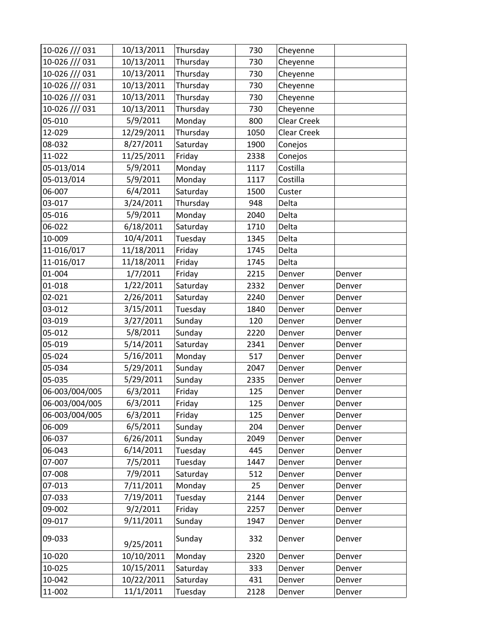| 10-026 /// 031 | 10/13/2011 | Thursday | 730  | Cheyenne           |        |
|----------------|------------|----------|------|--------------------|--------|
| 10-026 /// 031 | 10/13/2011 | Thursday | 730  | Cheyenne           |        |
| 10-026 /// 031 | 10/13/2011 | Thursday | 730  | Cheyenne           |        |
| 10-026 /// 031 | 10/13/2011 | Thursday | 730  | Cheyenne           |        |
| 10-026 /// 031 | 10/13/2011 | Thursday | 730  | Cheyenne           |        |
| 10-026 /// 031 | 10/13/2011 | Thursday | 730  | Cheyenne           |        |
| 05-010         | 5/9/2011   | Monday   | 800  | <b>Clear Creek</b> |        |
| 12-029         | 12/29/2011 | Thursday | 1050 | Clear Creek        |        |
| 08-032         | 8/27/2011  | Saturday | 1900 | Conejos            |        |
| 11-022         | 11/25/2011 | Friday   | 2338 | Conejos            |        |
| 05-013/014     | 5/9/2011   | Monday   | 1117 | Costilla           |        |
| 05-013/014     | 5/9/2011   | Monday   | 1117 | Costilla           |        |
| 06-007         | 6/4/2011   | Saturday | 1500 | Custer             |        |
| 03-017         | 3/24/2011  | Thursday | 948  | Delta              |        |
| 05-016         | 5/9/2011   | Monday   | 2040 | Delta              |        |
| 06-022         | 6/18/2011  | Saturday | 1710 | Delta              |        |
| 10-009         | 10/4/2011  | Tuesday  | 1345 | Delta              |        |
| 11-016/017     | 11/18/2011 | Friday   | 1745 | Delta              |        |
| 11-016/017     | 11/18/2011 | Friday   | 1745 | Delta              |        |
| 01-004         | 1/7/2011   | Friday   | 2215 | Denver             | Denver |
| 01-018         | 1/22/2011  | Saturday | 2332 | Denver             | Denver |
| 02-021         | 2/26/2011  | Saturday | 2240 | Denver             | Denver |
| 03-012         | 3/15/2011  | Tuesday  | 1840 | Denver             | Denver |
| 03-019         | 3/27/2011  | Sunday   | 120  | Denver             | Denver |
| 05-012         | 5/8/2011   | Sunday   | 2220 | Denver             | Denver |
| 05-019         | 5/14/2011  | Saturday | 2341 | Denver             | Denver |
| 05-024         | 5/16/2011  | Monday   | 517  | Denver             | Denver |
| 05-034         | 5/29/2011  | Sunday   | 2047 | Denver             | Denver |
| 05-035         | 5/29/2011  | Sunday   | 2335 | Denver             | Denver |
| 06-003/004/005 | 6/3/2011   | Friday   | 125  | Denver             | Denver |
| 06-003/004/005 | 6/3/2011   | Friday   | 125  | Denver             | Denver |
| 06-003/004/005 | 6/3/2011   | Friday   | 125  | Denver             | Denver |
| 06-009         | 6/5/2011   | Sunday   | 204  | Denver             | Denver |
| 06-037         | 6/26/2011  | Sunday   | 2049 | Denver             | Denver |
| 06-043         | 6/14/2011  | Tuesday  | 445  | Denver             | Denver |
| 07-007         | 7/5/2011   | Tuesday  | 1447 | Denver             | Denver |
| 07-008         | 7/9/2011   | Saturday | 512  | Denver             | Denver |
| 07-013         | 7/11/2011  | Monday   | 25   | Denver             | Denver |
| 07-033         | 7/19/2011  | Tuesday  | 2144 | Denver             | Denver |
| 09-002         | 9/2/2011   | Friday   | 2257 | Denver             | Denver |
| 09-017         | 9/11/2011  | Sunday   | 1947 | Denver             | Denver |
| 09-033         | 9/25/2011  | Sunday   | 332  | Denver             | Denver |
| 10-020         | 10/10/2011 | Monday   | 2320 | Denver             | Denver |
| 10-025         | 10/15/2011 | Saturday | 333  | Denver             | Denver |
| 10-042         | 10/22/2011 | Saturday | 431  | Denver             | Denver |
| 11-002         | 11/1/2011  | Tuesday  | 2128 | Denver             | Denver |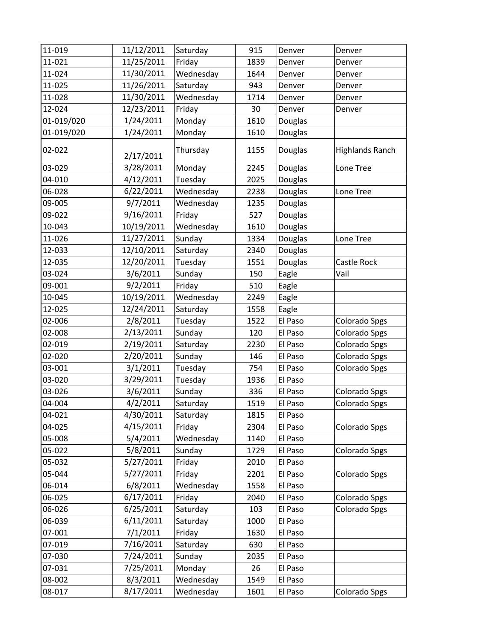| 11-019     | 11/12/2011 | Saturday  | 915  | Denver  | Denver                 |
|------------|------------|-----------|------|---------|------------------------|
| 11-021     | 11/25/2011 | Friday    | 1839 | Denver  | Denver                 |
| 11-024     | 11/30/2011 | Wednesday | 1644 | Denver  | Denver                 |
| 11-025     | 11/26/2011 | Saturday  | 943  | Denver  | Denver                 |
| 11-028     | 11/30/2011 | Wednesday | 1714 | Denver  | Denver                 |
| 12-024     | 12/23/2011 | Friday    | 30   | Denver  | Denver                 |
| 01-019/020 | 1/24/2011  | Monday    | 1610 | Douglas |                        |
| 01-019/020 | 1/24/2011  | Monday    | 1610 | Douglas |                        |
| 02-022     | 2/17/2011  | Thursday  | 1155 | Douglas | <b>Highlands Ranch</b> |
| 03-029     | 3/28/2011  | Monday    | 2245 | Douglas | Lone Tree              |
| 04-010     | 4/12/2011  | Tuesday   | 2025 | Douglas |                        |
| 06-028     | 6/22/2011  | Wednesday | 2238 | Douglas | Lone Tree              |
| 09-005     | 9/7/2011   | Wednesday | 1235 | Douglas |                        |
| 09-022     | 9/16/2011  | Friday    | 527  | Douglas |                        |
| 10-043     | 10/19/2011 | Wednesday | 1610 | Douglas |                        |
| 11-026     | 11/27/2011 | Sunday    | 1334 | Douglas | Lone Tree              |
| 12-033     | 12/10/2011 | Saturday  | 2340 | Douglas |                        |
| 12-035     | 12/20/2011 | Tuesday   | 1551 | Douglas | Castle Rock            |
| 03-024     | 3/6/2011   | Sunday    | 150  | Eagle   | Vail                   |
| 09-001     | 9/2/2011   | Friday    | 510  | Eagle   |                        |
| 10-045     | 10/19/2011 | Wednesday | 2249 | Eagle   |                        |
| 12-025     | 12/24/2011 | Saturday  | 1558 | Eagle   |                        |
| 02-006     | 2/8/2011   | Tuesday   | 1522 | El Paso | Colorado Spgs          |
| 02-008     | 2/13/2011  | Sunday    | 120  | El Paso | Colorado Spgs          |
| 02-019     | 2/19/2011  | Saturday  | 2230 | El Paso | Colorado Spgs          |
| 02-020     | 2/20/2011  | Sunday    | 146  | El Paso | Colorado Spgs          |
| 03-001     | 3/1/2011   | Tuesday   | 754  | El Paso | Colorado Spgs          |
| 03-020     | 3/29/2011  | Tuesday   | 1936 | El Paso |                        |
| 03-026     | 3/6/2011   | Sunday    | 336  | El Paso | Colorado Spgs          |
| 04-004     | 4/2/2011   | Saturday  | 1519 | El Paso | Colorado Spgs          |
| 04-021     | 4/30/2011  | Saturday  | 1815 | El Paso |                        |
| 04-025     | 4/15/2011  | Friday    | 2304 | El Paso | Colorado Spgs          |
| 05-008     | 5/4/2011   | Wednesday | 1140 | El Paso |                        |
| 05-022     | 5/8/2011   | Sunday    | 1729 | El Paso | Colorado Spgs          |
| 05-032     | 5/27/2011  | Friday    | 2010 | El Paso |                        |
| 05-044     | 5/27/2011  | Friday    | 2201 | El Paso | Colorado Spgs          |
| 06-014     | 6/8/2011   | Wednesday | 1558 | El Paso |                        |
| 06-025     | 6/17/2011  | Friday    | 2040 | El Paso | Colorado Spgs          |
| 06-026     | 6/25/2011  | Saturday  | 103  | El Paso | Colorado Spgs          |
| 06-039     | 6/11/2011  | Saturday  | 1000 | El Paso |                        |
| 07-001     | 7/1/2011   | Friday    | 1630 | El Paso |                        |
| 07-019     | 7/16/2011  | Saturday  | 630  | El Paso |                        |
| 07-030     | 7/24/2011  | Sunday    | 2035 | El Paso |                        |
| 07-031     | 7/25/2011  | Monday    | 26   | El Paso |                        |
| 08-002     | 8/3/2011   | Wednesday | 1549 | El Paso |                        |
| 08-017     | 8/17/2011  | Wednesday | 1601 | El Paso | Colorado Spgs          |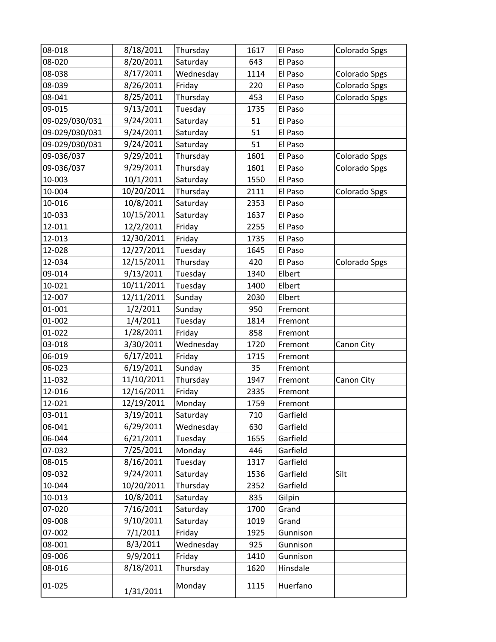| 08-018         | 8/18/2011  | Thursday  | 1617 | El Paso  | Colorado Spgs |
|----------------|------------|-----------|------|----------|---------------|
| 08-020         | 8/20/2011  | Saturday  | 643  | El Paso  |               |
| 08-038         | 8/17/2011  | Wednesday | 1114 | El Paso  | Colorado Spgs |
| 08-039         | 8/26/2011  | Friday    | 220  | El Paso  | Colorado Spgs |
| 08-041         | 8/25/2011  | Thursday  | 453  | El Paso  | Colorado Spgs |
| 09-015         | 9/13/2011  | Tuesday   | 1735 | El Paso  |               |
| 09-029/030/031 | 9/24/2011  | Saturday  | 51   | El Paso  |               |
| 09-029/030/031 | 9/24/2011  | Saturday  | 51   | El Paso  |               |
| 09-029/030/031 | 9/24/2011  | Saturday  | 51   | El Paso  |               |
| 09-036/037     | 9/29/2011  | Thursday  | 1601 | El Paso  | Colorado Spgs |
| 09-036/037     | 9/29/2011  | Thursday  | 1601 | El Paso  | Colorado Spgs |
| 10-003         | 10/1/2011  | Saturday  | 1550 | El Paso  |               |
| 10-004         | 10/20/2011 | Thursday  | 2111 | El Paso  | Colorado Spgs |
| 10-016         | 10/8/2011  | Saturday  | 2353 | El Paso  |               |
| 10-033         | 10/15/2011 | Saturday  | 1637 | El Paso  |               |
| 12-011         | 12/2/2011  | Friday    | 2255 | El Paso  |               |
| 12-013         | 12/30/2011 | Friday    | 1735 | El Paso  |               |
| 12-028         | 12/27/2011 | Tuesday   | 1645 | El Paso  |               |
| 12-034         | 12/15/2011 | Thursday  | 420  | El Paso  | Colorado Spgs |
| 09-014         | 9/13/2011  | Tuesday   | 1340 | Elbert   |               |
| 10-021         | 10/11/2011 | Tuesday   | 1400 | Elbert   |               |
| 12-007         | 12/11/2011 | Sunday    | 2030 | Elbert   |               |
| 01-001         | 1/2/2011   | Sunday    | 950  | Fremont  |               |
| 01-002         | 1/4/2011   | Tuesday   | 1814 | Fremont  |               |
| 01-022         | 1/28/2011  | Friday    | 858  | Fremont  |               |
| 03-018         | 3/30/2011  | Wednesday | 1720 | Fremont  | Canon City    |
| 06-019         | 6/17/2011  | Friday    | 1715 | Fremont  |               |
| 06-023         | 6/19/2011  | Sunday    | 35   | Fremont  |               |
| 11-032         | 11/10/2011 | Thursday  | 1947 | Fremont  | Canon City    |
| 12-016         | 12/16/2011 | Friday    | 2335 | Fremont  |               |
| 12-021         | 12/19/2011 | Monday    | 1759 | Fremont  |               |
| 03-011         | 3/19/2011  | Saturday  | 710  | Garfield |               |
| 06-041         | 6/29/2011  | Wednesday | 630  | Garfield |               |
| 06-044         | 6/21/2011  | Tuesday   | 1655 | Garfield |               |
| 07-032         | 7/25/2011  | Monday    | 446  | Garfield |               |
| 08-015         | 8/16/2011  | Tuesday   | 1317 | Garfield |               |
| 09-032         | 9/24/2011  | Saturday  | 1536 | Garfield | Silt          |
| 10-044         | 10/20/2011 | Thursday  | 2352 | Garfield |               |
| 10-013         | 10/8/2011  | Saturday  | 835  | Gilpin   |               |
| 07-020         | 7/16/2011  | Saturday  | 1700 | Grand    |               |
| 09-008         | 9/10/2011  | Saturday  | 1019 | Grand    |               |
| 07-002         | 7/1/2011   | Friday    | 1925 | Gunnison |               |
| 08-001         | 8/3/2011   | Wednesday | 925  | Gunnison |               |
| 09-006         | 9/9/2011   | Friday    | 1410 | Gunnison |               |
| 08-016         | 8/18/2011  | Thursday  | 1620 | Hinsdale |               |
| 01-025         | 1/31/2011  | Monday    | 1115 | Huerfano |               |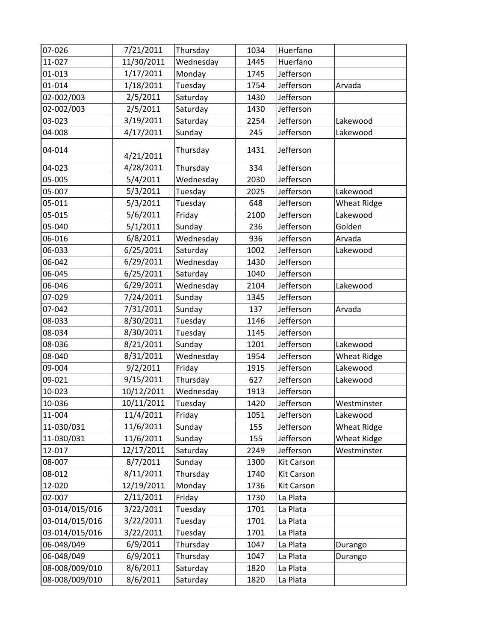| 07-026         | 7/21/2011  | Thursday  | 1034 | Huerfano          |                    |
|----------------|------------|-----------|------|-------------------|--------------------|
| 11-027         | 11/30/2011 | Wednesday | 1445 | Huerfano          |                    |
| 01-013         | 1/17/2011  | Monday    | 1745 | Jefferson         |                    |
| 01-014         | 1/18/2011  | Tuesday   | 1754 | Jefferson         | Arvada             |
| 02-002/003     | 2/5/2011   | Saturday  | 1430 | Jefferson         |                    |
| 02-002/003     | 2/5/2011   | Saturday  | 1430 | Jefferson         |                    |
| 03-023         | 3/19/2011  | Saturday  | 2254 | Jefferson         | Lakewood           |
| 04-008         | 4/17/2011  | Sunday    | 245  | Jefferson         | Lakewood           |
| 04-014         | 4/21/2011  | Thursday  | 1431 | Jefferson         |                    |
| 04-023         | 4/28/2011  | Thursday  | 334  | Jefferson         |                    |
| 05-005         | 5/4/2011   | Wednesday | 2030 | Jefferson         |                    |
| 05-007         | 5/3/2011   | Tuesday   | 2025 | Jefferson         | Lakewood           |
| 05-011         | 5/3/2011   | Tuesday   | 648  | Jefferson         | <b>Wheat Ridge</b> |
| 05-015         | 5/6/2011   | Friday    | 2100 | Jefferson         | Lakewood           |
| 05-040         | 5/1/2011   | Sunday    | 236  | Jefferson         | Golden             |
| 06-016         | 6/8/2011   | Wednesday | 936  | Jefferson         | Arvada             |
| 06-033         | 6/25/2011  | Saturday  | 1002 | Jefferson         | Lakewood           |
| 06-042         | 6/29/2011  | Wednesday | 1430 | Jefferson         |                    |
| 06-045         | 6/25/2011  | Saturday  | 1040 | Jefferson         |                    |
| 06-046         | 6/29/2011  | Wednesday | 2104 | Jefferson         | Lakewood           |
| 07-029         | 7/24/2011  | Sunday    | 1345 | Jefferson         |                    |
| 07-042         | 7/31/2011  | Sunday    | 137  | Jefferson         | Arvada             |
| 08-033         | 8/30/2011  | Tuesday   | 1146 | Jefferson         |                    |
| 08-034         | 8/30/2011  | Tuesday   | 1145 | Jefferson         |                    |
| 08-036         | 8/21/2011  | Sunday    | 1201 | Jefferson         | Lakewood           |
| 08-040         | 8/31/2011  | Wednesday | 1954 | Jefferson         | <b>Wheat Ridge</b> |
| 09-004         | 9/2/2011   | Friday    | 1915 | Jefferson         | Lakewood           |
| 09-021         | 9/15/2011  | Thursday  | 627  | Jefferson         | Lakewood           |
| 10-023         | 10/12/2011 | Wednesday | 1913 | Jefferson         |                    |
| 10-036         | 10/11/2011 | Tuesday   | 1420 | Jefferson         | Westminster        |
| 11-004         | 11/4/2011  | Friday    | 1051 | Jefferson         | Lakewood           |
| 11-030/031     | 11/6/2011  | Sunday    | 155  | Jefferson         | <b>Wheat Ridge</b> |
| 11-030/031     | 11/6/2011  | Sunday    | 155  | Jefferson         | <b>Wheat Ridge</b> |
| 12-017         | 12/17/2011 | Saturday  | 2249 | Jefferson         | Westminster        |
| 08-007         | 8/7/2011   | Sunday    | 1300 | Kit Carson        |                    |
| 08-012         | 8/11/2011  | Thursday  | 1740 | <b>Kit Carson</b> |                    |
| 12-020         | 12/19/2011 | Monday    | 1736 | Kit Carson        |                    |
| 02-007         | 2/11/2011  | Friday    | 1730 | La Plata          |                    |
| 03-014/015/016 | 3/22/2011  | Tuesday   | 1701 | La Plata          |                    |
| 03-014/015/016 | 3/22/2011  | Tuesday   | 1701 | La Plata          |                    |
| 03-014/015/016 | 3/22/2011  | Tuesday   | 1701 | La Plata          |                    |
| 06-048/049     | 6/9/2011   | Thursday  | 1047 | La Plata          | Durango            |
| 06-048/049     | 6/9/2011   | Thursday  | 1047 | La Plata          | Durango            |
| 08-008/009/010 | 8/6/2011   | Saturday  | 1820 | La Plata          |                    |
| 08-008/009/010 | 8/6/2011   | Saturday  | 1820 | La Plata          |                    |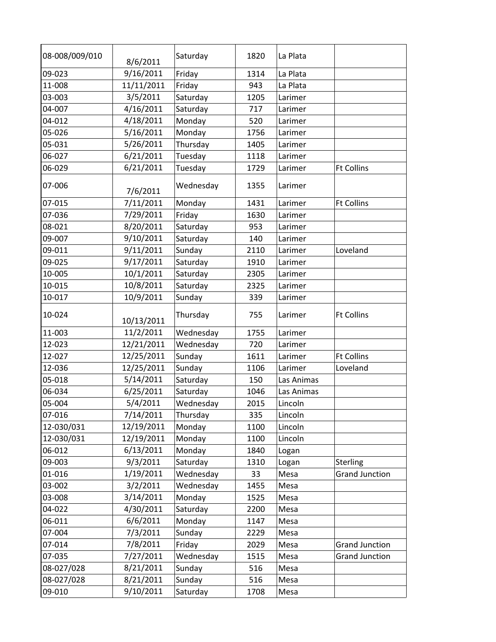| 08-008/009/010 | 8/6/2011   | Saturday  | 1820 | La Plata   |                       |
|----------------|------------|-----------|------|------------|-----------------------|
| 09-023         | 9/16/2011  | Friday    | 1314 | La Plata   |                       |
| 11-008         | 11/11/2011 | Friday    | 943  | La Plata   |                       |
| 03-003         | 3/5/2011   | Saturday  | 1205 | Larimer    |                       |
| 04-007         | 4/16/2011  | Saturday  | 717  | Larimer    |                       |
| 04-012         | 4/18/2011  | Monday    | 520  | Larimer    |                       |
| 05-026         | 5/16/2011  | Monday    | 1756 | Larimer    |                       |
| 05-031         | 5/26/2011  | Thursday  | 1405 | Larimer    |                       |
| 06-027         | 6/21/2011  | Tuesday   | 1118 | Larimer    |                       |
| 06-029         | 6/21/2011  | Tuesday   | 1729 | Larimer    | <b>Ft Collins</b>     |
| 07-006         | 7/6/2011   | Wednesday | 1355 | Larimer    |                       |
| 07-015         | 7/11/2011  | Monday    | 1431 | Larimer    | <b>Ft Collins</b>     |
| 07-036         | 7/29/2011  | Friday    | 1630 | Larimer    |                       |
| 08-021         | 8/20/2011  | Saturday  | 953  | Larimer    |                       |
| 09-007         | 9/10/2011  | Saturday  | 140  | Larimer    |                       |
| 09-011         | 9/11/2011  | Sunday    | 2110 | Larimer    | Loveland              |
| 09-025         | 9/17/2011  | Saturday  | 1910 | Larimer    |                       |
| 10-005         | 10/1/2011  | Saturday  | 2305 | Larimer    |                       |
| 10-015         | 10/8/2011  | Saturday  | 2325 | Larimer    |                       |
| 10-017         | 10/9/2011  | Sunday    | 339  | Larimer    |                       |
| 10-024         | 10/13/2011 | Thursday  | 755  | Larimer    | <b>Ft Collins</b>     |
| 11-003         | 11/2/2011  | Wednesday | 1755 | Larimer    |                       |
| 12-023         | 12/21/2011 | Wednesday | 720  | Larimer    |                       |
| 12-027         | 12/25/2011 | Sunday    | 1611 | Larimer    | <b>Ft Collins</b>     |
| 12-036         | 12/25/2011 | Sunday    | 1106 | Larimer    | Loveland              |
| 05-018         | 5/14/2011  | Saturday  | 150  | Las Animas |                       |
| 06-034         | 6/25/2011  | Saturday  | 1046 | Las Animas |                       |
| 05-004         | 5/4/2011   | Wednesday | 2015 | Lincoln    |                       |
| 07-016         | 7/14/2011  | Thursday  | 335  | Lincoln    |                       |
| 12-030/031     | 12/19/2011 | Monday    | 1100 | Lincoln    |                       |
| 12-030/031     | 12/19/2011 | Monday    | 1100 | Lincoln    |                       |
| 06-012         | 6/13/2011  | Monday    | 1840 | Logan      |                       |
| 09-003         | 9/3/2011   | Saturday  | 1310 | Logan      | Sterling              |
| 01-016         | 1/19/2011  | Wednesday | 33   | Mesa       | <b>Grand Junction</b> |
| 03-002         | 3/2/2011   | Wednesday | 1455 | Mesa       |                       |
| 03-008         | 3/14/2011  | Monday    | 1525 | Mesa       |                       |
| 04-022         | 4/30/2011  | Saturday  | 2200 | Mesa       |                       |
| 06-011         | 6/6/2011   | Monday    | 1147 | Mesa       |                       |
| 07-004         | 7/3/2011   | Sunday    | 2229 | Mesa       |                       |
| 07-014         | 7/8/2011   | Friday    | 2029 | Mesa       | <b>Grand Junction</b> |
| 07-035         | 7/27/2011  | Wednesday | 1515 | Mesa       | <b>Grand Junction</b> |
| 08-027/028     | 8/21/2011  | Sunday    | 516  | Mesa       |                       |
| 08-027/028     | 8/21/2011  | Sunday    | 516  | Mesa       |                       |
| 09-010         | 9/10/2011  | Saturday  | 1708 | Mesa       |                       |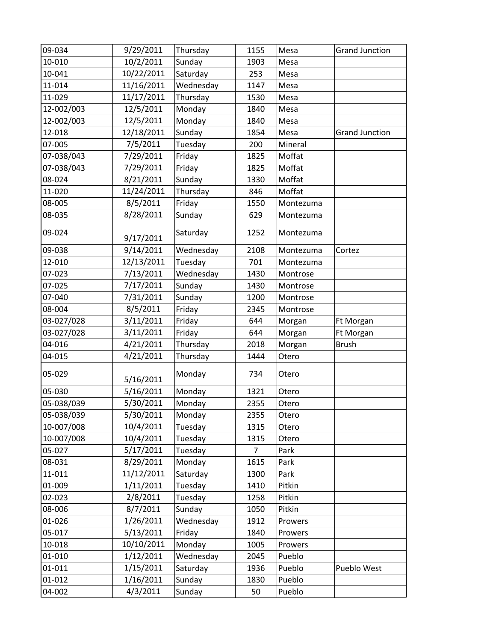| 09-034     | 9/29/2011  | Thursday  | 1155           | Mesa      | <b>Grand Junction</b> |
|------------|------------|-----------|----------------|-----------|-----------------------|
| 10-010     | 10/2/2011  | Sunday    | 1903           | Mesa      |                       |
| 10-041     | 10/22/2011 | Saturday  | 253            | Mesa      |                       |
| 11-014     | 11/16/2011 | Wednesday | 1147           | Mesa      |                       |
| 11-029     | 11/17/2011 | Thursday  | 1530           | Mesa      |                       |
| 12-002/003 | 12/5/2011  | Monday    | 1840           | Mesa      |                       |
| 12-002/003 | 12/5/2011  | Monday    | 1840           | Mesa      |                       |
| 12-018     | 12/18/2011 | Sunday    | 1854           | Mesa      | <b>Grand Junction</b> |
| 07-005     | 7/5/2011   | Tuesday   | 200            | Mineral   |                       |
| 07-038/043 | 7/29/2011  | Friday    | 1825           | Moffat    |                       |
| 07-038/043 | 7/29/2011  | Friday    | 1825           | Moffat    |                       |
| 08-024     | 8/21/2011  | Sunday    | 1330           | Moffat    |                       |
| 11-020     | 11/24/2011 | Thursday  | 846            | Moffat    |                       |
| 08-005     | 8/5/2011   | Friday    | 1550           | Montezuma |                       |
| 08-035     | 8/28/2011  | Sunday    | 629            | Montezuma |                       |
|            |            |           |                |           |                       |
| 09-024     | 9/17/2011  | Saturday  | 1252           | Montezuma |                       |
| 09-038     | 9/14/2011  | Wednesday | 2108           | Montezuma | Cortez                |
| 12-010     | 12/13/2011 | Tuesday   | 701            | Montezuma |                       |
| 07-023     | 7/13/2011  | Wednesday | 1430           | Montrose  |                       |
| 07-025     | 7/17/2011  | Sunday    | 1430           | Montrose  |                       |
| 07-040     | 7/31/2011  | Sunday    | 1200           | Montrose  |                       |
| 08-004     | 8/5/2011   | Friday    | 2345           | Montrose  |                       |
| 03-027/028 | 3/11/2011  | Friday    | 644            | Morgan    | Ft Morgan             |
| 03-027/028 | 3/11/2011  | Friday    | 644            | Morgan    | Ft Morgan             |
| 04-016     | 4/21/2011  | Thursday  | 2018           | Morgan    | <b>Brush</b>          |
| 04-015     | 4/21/2011  | Thursday  | 1444           | Otero     |                       |
| 05-029     |            | Monday    | 734            | Otero     |                       |
|            | 5/16/2011  |           |                |           |                       |
| 05-030     | 5/16/2011  | Monday    | 1321           | Otero     |                       |
| 05-038/039 | 5/30/2011  | Monday    | 2355           | Otero     |                       |
| 05-038/039 | 5/30/2011  | Monday    | 2355           | Otero     |                       |
| 10-007/008 | 10/4/2011  | Tuesday   | 1315           | Otero     |                       |
| 10-007/008 | 10/4/2011  | Tuesday   | 1315           | Otero     |                       |
| 05-027     | 5/17/2011  | Tuesday   | $\overline{7}$ | Park      |                       |
| 08-031     | 8/29/2011  | Monday    | 1615           | Park      |                       |
| 11-011     | 11/12/2011 | Saturday  | 1300           | Park      |                       |
| 01-009     | 1/11/2011  | Tuesday   | 1410           | Pitkin    |                       |
| 02-023     | 2/8/2011   | Tuesday   | 1258           | Pitkin    |                       |
| 08-006     | 8/7/2011   | Sunday    | 1050           | Pitkin    |                       |
| 01-026     | 1/26/2011  | Wednesday | 1912           | Prowers   |                       |
| 05-017     | 5/13/2011  | Friday    | 1840           | Prowers   |                       |
| 10-018     | 10/10/2011 | Monday    | 1005           | Prowers   |                       |
| 01-010     | 1/12/2011  | Wednesday | 2045           | Pueblo    |                       |
| 01-011     | 1/15/2011  | Saturday  | 1936           | Pueblo    | Pueblo West           |
| 01-012     | 1/16/2011  | Sunday    | 1830           | Pueblo    |                       |
| 04-002     | 4/3/2011   | Sunday    | 50             | Pueblo    |                       |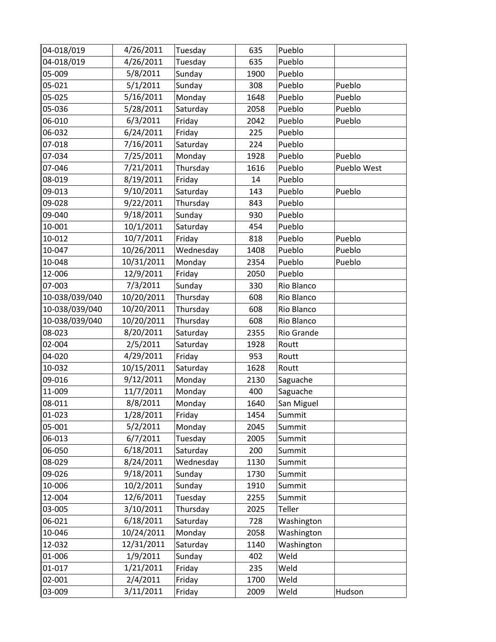| 04-018/019     | 4/26/2011  | Tuesday   | 635  | Pueblo     |             |
|----------------|------------|-----------|------|------------|-------------|
| 04-018/019     | 4/26/2011  | Tuesday   | 635  | Pueblo     |             |
| 05-009         | 5/8/2011   | Sunday    | 1900 | Pueblo     |             |
| 05-021         | 5/1/2011   | Sunday    | 308  | Pueblo     | Pueblo      |
| 05-025         | 5/16/2011  | Monday    | 1648 | Pueblo     | Pueblo      |
| 05-036         | 5/28/2011  | Saturday  | 2058 | Pueblo     | Pueblo      |
| 06-010         | 6/3/2011   | Friday    | 2042 | Pueblo     | Pueblo      |
| 06-032         | 6/24/2011  | Friday    | 225  | Pueblo     |             |
| 07-018         | 7/16/2011  | Saturday  | 224  | Pueblo     |             |
| 07-034         | 7/25/2011  | Monday    | 1928 | Pueblo     | Pueblo      |
| 07-046         | 7/21/2011  | Thursday  | 1616 | Pueblo     | Pueblo West |
| 08-019         | 8/19/2011  | Friday    | 14   | Pueblo     |             |
| 09-013         | 9/10/2011  | Saturday  | 143  | Pueblo     | Pueblo      |
| 09-028         | 9/22/2011  | Thursday  | 843  | Pueblo     |             |
| 09-040         | 9/18/2011  | Sunday    | 930  | Pueblo     |             |
| 10-001         | 10/1/2011  | Saturday  | 454  | Pueblo     |             |
| 10-012         | 10/7/2011  | Friday    | 818  | Pueblo     | Pueblo      |
| 10-047         | 10/26/2011 | Wednesday | 1408 | Pueblo     | Pueblo      |
| 10-048         | 10/31/2011 | Monday    | 2354 | Pueblo     | Pueblo      |
| 12-006         | 12/9/2011  | Friday    | 2050 | Pueblo     |             |
| 07-003         | 7/3/2011   | Sunday    | 330  | Rio Blanco |             |
| 10-038/039/040 | 10/20/2011 | Thursday  | 608  | Rio Blanco |             |
| 10-038/039/040 | 10/20/2011 | Thursday  | 608  | Rio Blanco |             |
| 10-038/039/040 | 10/20/2011 | Thursday  | 608  | Rio Blanco |             |
| 08-023         | 8/20/2011  | Saturday  | 2355 | Rio Grande |             |
| 02-004         | 2/5/2011   | Saturday  | 1928 | Routt      |             |
| 04-020         | 4/29/2011  | Friday    | 953  | Routt      |             |
| 10-032         | 10/15/2011 | Saturday  | 1628 | Routt      |             |
| 09-016         | 9/12/2011  | Monday    | 2130 | Saguache   |             |
| 11-009         | 11/7/2011  | Monday    | 400  | Saguache   |             |
| 08-011         | 8/8/2011   | Monday    | 1640 | San Miguel |             |
| 01-023         | 1/28/2011  | Friday    | 1454 | Summit     |             |
| 05-001         | 5/2/2011   | Monday    | 2045 | Summit     |             |
| 06-013         | 6/7/2011   | Tuesday   | 2005 | Summit     |             |
| 06-050         | 6/18/2011  | Saturday  | 200  | Summit     |             |
| 08-029         | 8/24/2011  | Wednesday | 1130 | Summit     |             |
| 09-026         | 9/18/2011  | Sunday    | 1730 | Summit     |             |
| 10-006         | 10/2/2011  | Sunday    | 1910 | Summit     |             |
| 12-004         | 12/6/2011  | Tuesday   | 2255 | Summit     |             |
| 03-005         | 3/10/2011  | Thursday  | 2025 | Teller     |             |
| 06-021         | 6/18/2011  | Saturday  | 728  | Washington |             |
| 10-046         | 10/24/2011 | Monday    | 2058 | Washington |             |
| 12-032         | 12/31/2011 | Saturday  | 1140 | Washington |             |
| 01-006         | 1/9/2011   | Sunday    | 402  | Weld       |             |
| 01-017         | 1/21/2011  | Friday    | 235  | Weld       |             |
| 02-001         | 2/4/2011   | Friday    | 1700 | Weld       |             |
| 03-009         | 3/11/2011  | Friday    | 2009 | Weld       | Hudson      |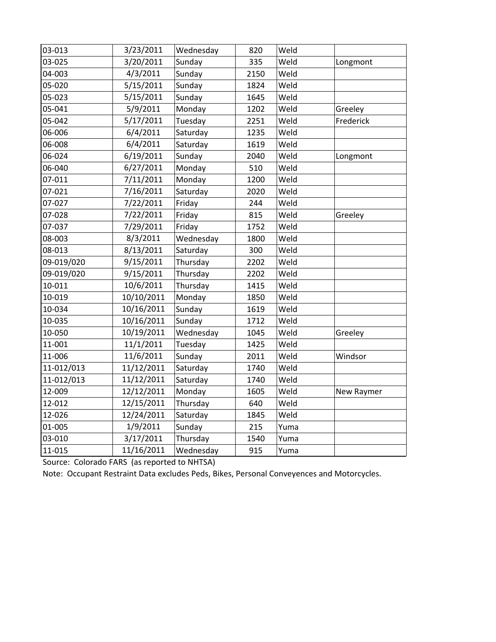| 03-013     | 3/23/2011  | Wednesday | 820  | Weld |            |
|------------|------------|-----------|------|------|------------|
| 03-025     | 3/20/2011  | Sunday    | 335  | Weld | Longmont   |
| 04-003     | 4/3/2011   | Sunday    | 2150 | Weld |            |
| 05-020     | 5/15/2011  | Sunday    | 1824 | Weld |            |
| 05-023     | 5/15/2011  | Sunday    | 1645 | Weld |            |
| 05-041     | 5/9/2011   | Monday    | 1202 | Weld | Greeley    |
| 05-042     | 5/17/2011  | Tuesday   | 2251 | Weld | Frederick  |
| 06-006     | 6/4/2011   | Saturday  | 1235 | Weld |            |
| 06-008     | 6/4/2011   | Saturday  | 1619 | Weld |            |
| 06-024     | 6/19/2011  | Sunday    | 2040 | Weld | Longmont   |
| 06-040     | 6/27/2011  | Monday    | 510  | Weld |            |
| 07-011     | 7/11/2011  | Monday    | 1200 | Weld |            |
| 07-021     | 7/16/2011  | Saturday  | 2020 | Weld |            |
| 07-027     | 7/22/2011  | Friday    | 244  | Weld |            |
| 07-028     | 7/22/2011  | Friday    | 815  | Weld | Greeley    |
| 07-037     | 7/29/2011  | Friday    | 1752 | Weld |            |
| 08-003     | 8/3/2011   | Wednesday | 1800 | Weld |            |
| 08-013     | 8/13/2011  | Saturday  | 300  | Weld |            |
| 09-019/020 | 9/15/2011  | Thursday  | 2202 | Weld |            |
| 09-019/020 | 9/15/2011  | Thursday  | 2202 | Weld |            |
| 10-011     | 10/6/2011  | Thursday  | 1415 | Weld |            |
| 10-019     | 10/10/2011 | Monday    | 1850 | Weld |            |
| 10-034     | 10/16/2011 | Sunday    | 1619 | Weld |            |
| 10-035     | 10/16/2011 | Sunday    | 1712 | Weld |            |
| 10-050     | 10/19/2011 | Wednesday | 1045 | Weld | Greeley    |
| 11-001     | 11/1/2011  | Tuesday   | 1425 | Weld |            |
| 11-006     | 11/6/2011  | Sunday    | 2011 | Weld | Windsor    |
| 11-012/013 | 11/12/2011 | Saturday  | 1740 | Weld |            |
| 11-012/013 | 11/12/2011 | Saturday  | 1740 | Weld |            |
| 12-009     | 12/12/2011 | Monday    | 1605 | Weld | New Raymer |
| 12-012     | 12/15/2011 | Thursday  | 640  | Weld |            |
| 12-026     | 12/24/2011 | Saturday  | 1845 | Weld |            |
| 01-005     | 1/9/2011   | Sunday    | 215  | Yuma |            |
| 03-010     | 3/17/2011  | Thursday  | 1540 | Yuma |            |
| 11-015     | 11/16/2011 | Wednesday | 915  | Yuma |            |
|            |            |           |      |      |            |

Source: Colorado FARS (as reported to NHTSA)

Note: Occupant Restraint Data excludes Peds, Bikes, Personal Conveyences and Motorcycles.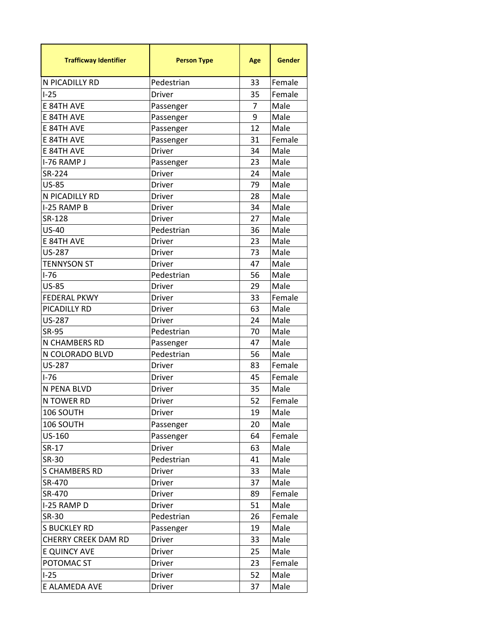| 33<br>N PICADILLY RD<br>Pedestrian<br>Female<br>$I-25$<br>Female<br>35<br><b>Driver</b><br>E 84TH AVE<br>Male<br>7<br>Passenger<br>9<br>E 84TH AVE<br>Male<br>Passenger<br>E 84TH AVE<br>12<br>Male<br>Passenger<br>E 84TH AVE<br>31<br>Female<br>Passenger<br>E 84TH AVE<br><b>Driver</b><br>34<br>Male<br>I-76 RAMP J<br>23<br>Male<br>Passenger<br>SR-224<br><b>Driver</b><br>24<br>Male<br><b>US-85</b><br>79<br>Male<br><b>Driver</b><br>N PICADILLY RD<br>28<br>Male<br><b>Driver</b><br>I-25 RAMP B<br>34<br>Male<br><b>Driver</b><br>SR-128<br>27<br>Male<br>Driver<br><b>US-40</b><br>Pedestrian<br>36<br>Male<br>E 84TH AVE<br>23<br>Male<br><b>Driver</b><br><b>US-287</b><br>73<br>Male<br><b>Driver</b><br><b>TENNYSON ST</b><br>47<br>Male<br><b>Driver</b><br>$1 - 76$<br>Pedestrian<br>56<br>Male<br><b>US-85</b><br>29<br>Male<br><b>Driver</b><br><b>FEDERAL PKWY</b><br>Female<br>33<br><b>Driver</b><br>PICADILLY RD<br>63<br>Male<br><b>Driver</b><br><b>US-287</b><br>Male<br><b>Driver</b><br>24<br>SR-95<br>70<br>Male<br>Pedestrian<br>N CHAMBERS RD<br>47<br>Male<br>Passenger<br>N COLORADO BLVD<br>Pedestrian<br>Male<br>56<br><b>US-287</b><br>83<br>Female<br><b>Driver</b><br>$I-76$<br>Female<br>45<br>Driver<br>Male<br>N PENA BLVD<br>35<br><b>Driver</b><br>N TOWER RD<br>52<br><b>Driver</b><br>Female<br>Male<br>106 SOUTH<br><b>Driver</b><br>19<br>Male<br>106 SOUTH<br>20<br>Passenger<br>US-160<br>64<br>Female<br>Passenger<br>SR-17<br>Driver<br>Male<br>63<br>41<br><b>SR-30</b><br>Pedestrian<br>Male<br>Male<br><b>S CHAMBERS RD</b><br>33<br><b>Driver</b><br>SR-470<br>37<br>Male<br>Driver<br>SR-470<br>89<br>Female<br>Driver<br>51<br>I-25 RAMP D<br>Male<br><b>Driver</b><br>SR-30<br>26<br>Pedestrian<br>Female<br>19<br>S BUCKLEY RD<br>Male<br>Passenger<br><b>CHERRY CREEK DAM RD</b><br>Male<br>Driver<br>33<br>E QUINCY AVE<br>25<br>Male<br>Driver<br>POTOMAC ST<br>23<br>Female<br>Driver<br>$I-25$<br>52<br>Male<br>Driver | <b>Trafficway Identifier</b> | <b>Person Type</b> | Age | Gender |
|-----------------------------------------------------------------------------------------------------------------------------------------------------------------------------------------------------------------------------------------------------------------------------------------------------------------------------------------------------------------------------------------------------------------------------------------------------------------------------------------------------------------------------------------------------------------------------------------------------------------------------------------------------------------------------------------------------------------------------------------------------------------------------------------------------------------------------------------------------------------------------------------------------------------------------------------------------------------------------------------------------------------------------------------------------------------------------------------------------------------------------------------------------------------------------------------------------------------------------------------------------------------------------------------------------------------------------------------------------------------------------------------------------------------------------------------------------------------------------------------------------------------------------------------------------------------------------------------------------------------------------------------------------------------------------------------------------------------------------------------------------------------------------------------------------------------------------------------------------------------------------------------------------------------------------------------------------------------------------------------|------------------------------|--------------------|-----|--------|
|                                                                                                                                                                                                                                                                                                                                                                                                                                                                                                                                                                                                                                                                                                                                                                                                                                                                                                                                                                                                                                                                                                                                                                                                                                                                                                                                                                                                                                                                                                                                                                                                                                                                                                                                                                                                                                                                                                                                                                                         |                              |                    |     |        |
|                                                                                                                                                                                                                                                                                                                                                                                                                                                                                                                                                                                                                                                                                                                                                                                                                                                                                                                                                                                                                                                                                                                                                                                                                                                                                                                                                                                                                                                                                                                                                                                                                                                                                                                                                                                                                                                                                                                                                                                         |                              |                    |     |        |
|                                                                                                                                                                                                                                                                                                                                                                                                                                                                                                                                                                                                                                                                                                                                                                                                                                                                                                                                                                                                                                                                                                                                                                                                                                                                                                                                                                                                                                                                                                                                                                                                                                                                                                                                                                                                                                                                                                                                                                                         |                              |                    |     |        |
|                                                                                                                                                                                                                                                                                                                                                                                                                                                                                                                                                                                                                                                                                                                                                                                                                                                                                                                                                                                                                                                                                                                                                                                                                                                                                                                                                                                                                                                                                                                                                                                                                                                                                                                                                                                                                                                                                                                                                                                         |                              |                    |     |        |
|                                                                                                                                                                                                                                                                                                                                                                                                                                                                                                                                                                                                                                                                                                                                                                                                                                                                                                                                                                                                                                                                                                                                                                                                                                                                                                                                                                                                                                                                                                                                                                                                                                                                                                                                                                                                                                                                                                                                                                                         |                              |                    |     |        |
|                                                                                                                                                                                                                                                                                                                                                                                                                                                                                                                                                                                                                                                                                                                                                                                                                                                                                                                                                                                                                                                                                                                                                                                                                                                                                                                                                                                                                                                                                                                                                                                                                                                                                                                                                                                                                                                                                                                                                                                         |                              |                    |     |        |
|                                                                                                                                                                                                                                                                                                                                                                                                                                                                                                                                                                                                                                                                                                                                                                                                                                                                                                                                                                                                                                                                                                                                                                                                                                                                                                                                                                                                                                                                                                                                                                                                                                                                                                                                                                                                                                                                                                                                                                                         |                              |                    |     |        |
|                                                                                                                                                                                                                                                                                                                                                                                                                                                                                                                                                                                                                                                                                                                                                                                                                                                                                                                                                                                                                                                                                                                                                                                                                                                                                                                                                                                                                                                                                                                                                                                                                                                                                                                                                                                                                                                                                                                                                                                         |                              |                    |     |        |
|                                                                                                                                                                                                                                                                                                                                                                                                                                                                                                                                                                                                                                                                                                                                                                                                                                                                                                                                                                                                                                                                                                                                                                                                                                                                                                                                                                                                                                                                                                                                                                                                                                                                                                                                                                                                                                                                                                                                                                                         |                              |                    |     |        |
|                                                                                                                                                                                                                                                                                                                                                                                                                                                                                                                                                                                                                                                                                                                                                                                                                                                                                                                                                                                                                                                                                                                                                                                                                                                                                                                                                                                                                                                                                                                                                                                                                                                                                                                                                                                                                                                                                                                                                                                         |                              |                    |     |        |
|                                                                                                                                                                                                                                                                                                                                                                                                                                                                                                                                                                                                                                                                                                                                                                                                                                                                                                                                                                                                                                                                                                                                                                                                                                                                                                                                                                                                                                                                                                                                                                                                                                                                                                                                                                                                                                                                                                                                                                                         |                              |                    |     |        |
|                                                                                                                                                                                                                                                                                                                                                                                                                                                                                                                                                                                                                                                                                                                                                                                                                                                                                                                                                                                                                                                                                                                                                                                                                                                                                                                                                                                                                                                                                                                                                                                                                                                                                                                                                                                                                                                                                                                                                                                         |                              |                    |     |        |
|                                                                                                                                                                                                                                                                                                                                                                                                                                                                                                                                                                                                                                                                                                                                                                                                                                                                                                                                                                                                                                                                                                                                                                                                                                                                                                                                                                                                                                                                                                                                                                                                                                                                                                                                                                                                                                                                                                                                                                                         |                              |                    |     |        |
|                                                                                                                                                                                                                                                                                                                                                                                                                                                                                                                                                                                                                                                                                                                                                                                                                                                                                                                                                                                                                                                                                                                                                                                                                                                                                                                                                                                                                                                                                                                                                                                                                                                                                                                                                                                                                                                                                                                                                                                         |                              |                    |     |        |
|                                                                                                                                                                                                                                                                                                                                                                                                                                                                                                                                                                                                                                                                                                                                                                                                                                                                                                                                                                                                                                                                                                                                                                                                                                                                                                                                                                                                                                                                                                                                                                                                                                                                                                                                                                                                                                                                                                                                                                                         |                              |                    |     |        |
|                                                                                                                                                                                                                                                                                                                                                                                                                                                                                                                                                                                                                                                                                                                                                                                                                                                                                                                                                                                                                                                                                                                                                                                                                                                                                                                                                                                                                                                                                                                                                                                                                                                                                                                                                                                                                                                                                                                                                                                         |                              |                    |     |        |
|                                                                                                                                                                                                                                                                                                                                                                                                                                                                                                                                                                                                                                                                                                                                                                                                                                                                                                                                                                                                                                                                                                                                                                                                                                                                                                                                                                                                                                                                                                                                                                                                                                                                                                                                                                                                                                                                                                                                                                                         |                              |                    |     |        |
|                                                                                                                                                                                                                                                                                                                                                                                                                                                                                                                                                                                                                                                                                                                                                                                                                                                                                                                                                                                                                                                                                                                                                                                                                                                                                                                                                                                                                                                                                                                                                                                                                                                                                                                                                                                                                                                                                                                                                                                         |                              |                    |     |        |
|                                                                                                                                                                                                                                                                                                                                                                                                                                                                                                                                                                                                                                                                                                                                                                                                                                                                                                                                                                                                                                                                                                                                                                                                                                                                                                                                                                                                                                                                                                                                                                                                                                                                                                                                                                                                                                                                                                                                                                                         |                              |                    |     |        |
|                                                                                                                                                                                                                                                                                                                                                                                                                                                                                                                                                                                                                                                                                                                                                                                                                                                                                                                                                                                                                                                                                                                                                                                                                                                                                                                                                                                                                                                                                                                                                                                                                                                                                                                                                                                                                                                                                                                                                                                         |                              |                    |     |        |
|                                                                                                                                                                                                                                                                                                                                                                                                                                                                                                                                                                                                                                                                                                                                                                                                                                                                                                                                                                                                                                                                                                                                                                                                                                                                                                                                                                                                                                                                                                                                                                                                                                                                                                                                                                                                                                                                                                                                                                                         |                              |                    |     |        |
|                                                                                                                                                                                                                                                                                                                                                                                                                                                                                                                                                                                                                                                                                                                                                                                                                                                                                                                                                                                                                                                                                                                                                                                                                                                                                                                                                                                                                                                                                                                                                                                                                                                                                                                                                                                                                                                                                                                                                                                         |                              |                    |     |        |
|                                                                                                                                                                                                                                                                                                                                                                                                                                                                                                                                                                                                                                                                                                                                                                                                                                                                                                                                                                                                                                                                                                                                                                                                                                                                                                                                                                                                                                                                                                                                                                                                                                                                                                                                                                                                                                                                                                                                                                                         |                              |                    |     |        |
|                                                                                                                                                                                                                                                                                                                                                                                                                                                                                                                                                                                                                                                                                                                                                                                                                                                                                                                                                                                                                                                                                                                                                                                                                                                                                                                                                                                                                                                                                                                                                                                                                                                                                                                                                                                                                                                                                                                                                                                         |                              |                    |     |        |
|                                                                                                                                                                                                                                                                                                                                                                                                                                                                                                                                                                                                                                                                                                                                                                                                                                                                                                                                                                                                                                                                                                                                                                                                                                                                                                                                                                                                                                                                                                                                                                                                                                                                                                                                                                                                                                                                                                                                                                                         |                              |                    |     |        |
|                                                                                                                                                                                                                                                                                                                                                                                                                                                                                                                                                                                                                                                                                                                                                                                                                                                                                                                                                                                                                                                                                                                                                                                                                                                                                                                                                                                                                                                                                                                                                                                                                                                                                                                                                                                                                                                                                                                                                                                         |                              |                    |     |        |
|                                                                                                                                                                                                                                                                                                                                                                                                                                                                                                                                                                                                                                                                                                                                                                                                                                                                                                                                                                                                                                                                                                                                                                                                                                                                                                                                                                                                                                                                                                                                                                                                                                                                                                                                                                                                                                                                                                                                                                                         |                              |                    |     |        |
|                                                                                                                                                                                                                                                                                                                                                                                                                                                                                                                                                                                                                                                                                                                                                                                                                                                                                                                                                                                                                                                                                                                                                                                                                                                                                                                                                                                                                                                                                                                                                                                                                                                                                                                                                                                                                                                                                                                                                                                         |                              |                    |     |        |
|                                                                                                                                                                                                                                                                                                                                                                                                                                                                                                                                                                                                                                                                                                                                                                                                                                                                                                                                                                                                                                                                                                                                                                                                                                                                                                                                                                                                                                                                                                                                                                                                                                                                                                                                                                                                                                                                                                                                                                                         |                              |                    |     |        |
|                                                                                                                                                                                                                                                                                                                                                                                                                                                                                                                                                                                                                                                                                                                                                                                                                                                                                                                                                                                                                                                                                                                                                                                                                                                                                                                                                                                                                                                                                                                                                                                                                                                                                                                                                                                                                                                                                                                                                                                         |                              |                    |     |        |
|                                                                                                                                                                                                                                                                                                                                                                                                                                                                                                                                                                                                                                                                                                                                                                                                                                                                                                                                                                                                                                                                                                                                                                                                                                                                                                                                                                                                                                                                                                                                                                                                                                                                                                                                                                                                                                                                                                                                                                                         |                              |                    |     |        |
|                                                                                                                                                                                                                                                                                                                                                                                                                                                                                                                                                                                                                                                                                                                                                                                                                                                                                                                                                                                                                                                                                                                                                                                                                                                                                                                                                                                                                                                                                                                                                                                                                                                                                                                                                                                                                                                                                                                                                                                         |                              |                    |     |        |
|                                                                                                                                                                                                                                                                                                                                                                                                                                                                                                                                                                                                                                                                                                                                                                                                                                                                                                                                                                                                                                                                                                                                                                                                                                                                                                                                                                                                                                                                                                                                                                                                                                                                                                                                                                                                                                                                                                                                                                                         |                              |                    |     |        |
|                                                                                                                                                                                                                                                                                                                                                                                                                                                                                                                                                                                                                                                                                                                                                                                                                                                                                                                                                                                                                                                                                                                                                                                                                                                                                                                                                                                                                                                                                                                                                                                                                                                                                                                                                                                                                                                                                                                                                                                         |                              |                    |     |        |
|                                                                                                                                                                                                                                                                                                                                                                                                                                                                                                                                                                                                                                                                                                                                                                                                                                                                                                                                                                                                                                                                                                                                                                                                                                                                                                                                                                                                                                                                                                                                                                                                                                                                                                                                                                                                                                                                                                                                                                                         |                              |                    |     |        |
|                                                                                                                                                                                                                                                                                                                                                                                                                                                                                                                                                                                                                                                                                                                                                                                                                                                                                                                                                                                                                                                                                                                                                                                                                                                                                                                                                                                                                                                                                                                                                                                                                                                                                                                                                                                                                                                                                                                                                                                         |                              |                    |     |        |
|                                                                                                                                                                                                                                                                                                                                                                                                                                                                                                                                                                                                                                                                                                                                                                                                                                                                                                                                                                                                                                                                                                                                                                                                                                                                                                                                                                                                                                                                                                                                                                                                                                                                                                                                                                                                                                                                                                                                                                                         |                              |                    |     |        |
|                                                                                                                                                                                                                                                                                                                                                                                                                                                                                                                                                                                                                                                                                                                                                                                                                                                                                                                                                                                                                                                                                                                                                                                                                                                                                                                                                                                                                                                                                                                                                                                                                                                                                                                                                                                                                                                                                                                                                                                         |                              |                    |     |        |
|                                                                                                                                                                                                                                                                                                                                                                                                                                                                                                                                                                                                                                                                                                                                                                                                                                                                                                                                                                                                                                                                                                                                                                                                                                                                                                                                                                                                                                                                                                                                                                                                                                                                                                                                                                                                                                                                                                                                                                                         |                              |                    |     |        |
|                                                                                                                                                                                                                                                                                                                                                                                                                                                                                                                                                                                                                                                                                                                                                                                                                                                                                                                                                                                                                                                                                                                                                                                                                                                                                                                                                                                                                                                                                                                                                                                                                                                                                                                                                                                                                                                                                                                                                                                         |                              |                    |     |        |
|                                                                                                                                                                                                                                                                                                                                                                                                                                                                                                                                                                                                                                                                                                                                                                                                                                                                                                                                                                                                                                                                                                                                                                                                                                                                                                                                                                                                                                                                                                                                                                                                                                                                                                                                                                                                                                                                                                                                                                                         |                              |                    |     |        |
|                                                                                                                                                                                                                                                                                                                                                                                                                                                                                                                                                                                                                                                                                                                                                                                                                                                                                                                                                                                                                                                                                                                                                                                                                                                                                                                                                                                                                                                                                                                                                                                                                                                                                                                                                                                                                                                                                                                                                                                         |                              |                    |     |        |
|                                                                                                                                                                                                                                                                                                                                                                                                                                                                                                                                                                                                                                                                                                                                                                                                                                                                                                                                                                                                                                                                                                                                                                                                                                                                                                                                                                                                                                                                                                                                                                                                                                                                                                                                                                                                                                                                                                                                                                                         |                              |                    |     |        |
|                                                                                                                                                                                                                                                                                                                                                                                                                                                                                                                                                                                                                                                                                                                                                                                                                                                                                                                                                                                                                                                                                                                                                                                                                                                                                                                                                                                                                                                                                                                                                                                                                                                                                                                                                                                                                                                                                                                                                                                         |                              |                    |     |        |
|                                                                                                                                                                                                                                                                                                                                                                                                                                                                                                                                                                                                                                                                                                                                                                                                                                                                                                                                                                                                                                                                                                                                                                                                                                                                                                                                                                                                                                                                                                                                                                                                                                                                                                                                                                                                                                                                                                                                                                                         | E ALAMEDA AVE                | <b>Driver</b>      | 37  | Male   |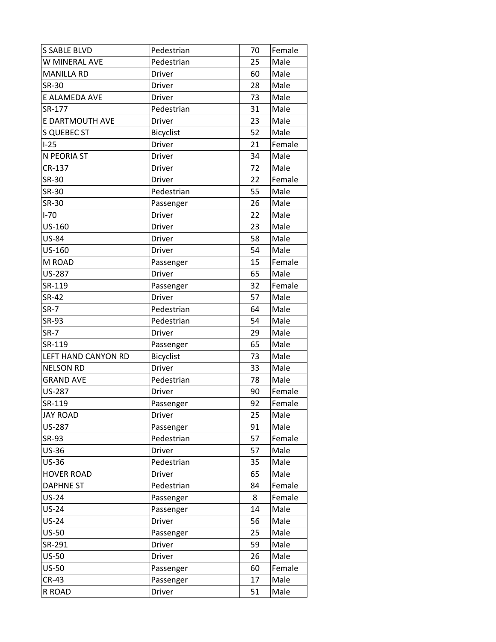| <b>S SABLE BLVD</b> | Pedestrian       | 70 | Female |
|---------------------|------------------|----|--------|
| W MINERAL AVE       | Pedestrian       | 25 | Male   |
| <b>MANILLA RD</b>   | <b>Driver</b>    | 60 | Male   |
| SR-30               | <b>Driver</b>    | 28 | Male   |
| E ALAMEDA AVE       | Driver           | 73 | Male   |
| SR-177              | Pedestrian       | 31 | Male   |
| E DARTMOUTH AVE     | <b>Driver</b>    | 23 | Male   |
| <b>S QUEBEC ST</b>  | <b>Bicyclist</b> | 52 | Male   |
| $I-25$              | Driver           | 21 | Female |
| N PEORIA ST         | <b>Driver</b>    | 34 | Male   |
| CR-137              | Driver           | 72 | Male   |
| <b>SR-30</b>        | Driver           | 22 | Female |
| SR-30               | Pedestrian       | 55 | Male   |
| SR-30               | Passenger        | 26 | Male   |
| $I-70$              | <b>Driver</b>    | 22 | Male   |
| US-160              | Driver           | 23 | Male   |
| <b>US-84</b>        | Driver           | 58 | Male   |
| US-160              | Driver           | 54 | Male   |
| M ROAD              | Passenger        | 15 | Female |
| <b>US-287</b>       | Driver           | 65 | Male   |
| SR-119              | Passenger        | 32 | Female |
| SR-42               | <b>Driver</b>    | 57 | Male   |
| $SR-7$              | Pedestrian       | 64 | Male   |
| SR-93               | Pedestrian       | 54 | Male   |
| <b>SR-7</b>         | <b>Driver</b>    | 29 | Male   |
| SR-119              | Passenger        | 65 | Male   |
| LEFT HAND CANYON RD | Bicyclist        | 73 | Male   |
| <b>NELSON RD</b>    | <b>Driver</b>    | 33 | Male   |
| <b>GRAND AVE</b>    | Pedestrian       | 78 | Male   |
| <b>US-287</b>       | <b>Driver</b>    | 90 | Female |
| SR-119              | Passenger        | 92 | Female |
| <b>JAY ROAD</b>     | <b>Driver</b>    | 25 | Male   |
| <b>US-287</b>       | Passenger        | 91 | Male   |
| SR-93               | Pedestrian       | 57 | Female |
| <b>US-36</b>        | <b>Driver</b>    | 57 | Male   |
| <b>US-36</b>        | Pedestrian       | 35 | Male   |
| <b>HOVER ROAD</b>   | Driver           | 65 | Male   |
| <b>DAPHNE ST</b>    | Pedestrian       | 84 | Female |
| <b>US-24</b>        | Passenger        | 8  | Female |
| <b>US-24</b>        | Passenger        | 14 | Male   |
| <b>US-24</b>        | <b>Driver</b>    | 56 | Male   |
| <b>US-50</b>        | Passenger        | 25 | Male   |
| SR-291              | Driver           | 59 | Male   |
| <b>US-50</b>        | <b>Driver</b>    | 26 | Male   |
| <b>US-50</b>        | Passenger        | 60 | Female |
| <b>CR-43</b>        | Passenger        | 17 | Male   |
| R ROAD              | Driver           | 51 | Male   |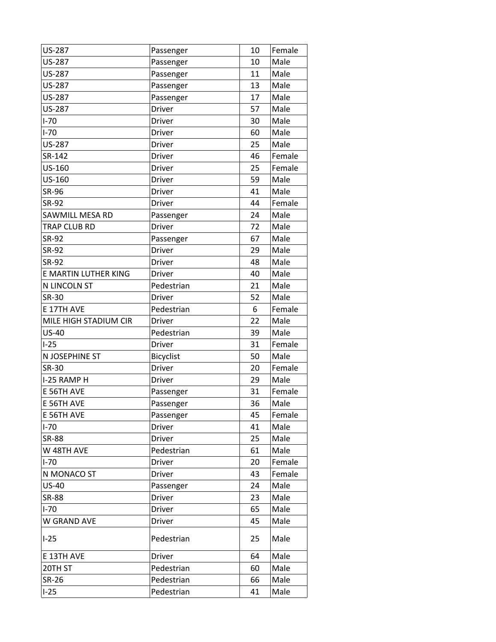| US-287                | Passenger     | 10 | Female |
|-----------------------|---------------|----|--------|
| US-287                | Passenger     | 10 | Male   |
| US-287                | Passenger     | 11 | Male   |
| <b>US-287</b>         | Passenger     | 13 | Male   |
| US-287                | Passenger     | 17 | Male   |
| US-287                | <b>Driver</b> | 57 | Male   |
| $I-70$                | Driver        | 30 | Male   |
| $I-70$                | <b>Driver</b> | 60 | Male   |
| <b>US-287</b>         | <b>Driver</b> | 25 | Male   |
| SR-142                | Driver        | 46 | Female |
| US-160                | <b>Driver</b> | 25 | Female |
| US-160                | <b>Driver</b> | 59 | Male   |
| SR-96                 | <b>Driver</b> | 41 | Male   |
| SR-92                 | <b>Driver</b> | 44 | Female |
| SAWMILL MESA RD       | Passenger     | 24 | Male   |
| TRAP CLUB RD          | <b>Driver</b> | 72 | Male   |
| SR-92                 | Passenger     | 67 | Male   |
| SR-92                 | Driver        | 29 | Male   |
| SR-92                 | <b>Driver</b> | 48 | Male   |
| E MARTIN LUTHER KING  | Driver        | 40 | Male   |
| N LINCOLN ST          | Pedestrian    | 21 | Male   |
| <b>SR-30</b>          | <b>Driver</b> | 52 | Male   |
| E 17TH AVE            | Pedestrian    | 6  | Female |
| MILE HIGH STADIUM CIR | <b>Driver</b> | 22 | Male   |
| <b>US-40</b>          | Pedestrian    | 39 | Male   |
| $I-25$                | Driver        | 31 | Female |
| N JOSEPHINE ST        | Bicyclist     | 50 | Male   |
| SR-30                 | Driver        | 20 | Female |
| I-25 RAMP H           | Driver        | 29 | Male   |
| E 56TH AVE            | Passenger     | 31 | Female |
| E 56TH AVE            | Passenger     | 36 | Male   |
| E 56TH AVE            | Passenger     | 45 | Female |
| $I-70$                | <b>Driver</b> | 41 | Male   |
| <b>SR-88</b>          | Driver        | 25 | Male   |
| W 48TH AVE            | Pedestrian    | 61 | Male   |
| $I-70$                | Driver        | 20 | Female |
| N MONACO ST           | <b>Driver</b> | 43 | Female |
| <b>US-40</b>          | Passenger     | 24 | Male   |
| <b>SR-88</b>          | <b>Driver</b> | 23 | Male   |
| $I-70$                | <b>Driver</b> | 65 | Male   |
| W GRAND AVE           | Driver        | 45 | Male   |
| $I-25$                | Pedestrian    | 25 | Male   |
| E 13TH AVE            | Driver        | 64 | Male   |
| 20TH ST               | Pedestrian    | 60 | Male   |
| <b>SR-26</b>          | Pedestrian    | 66 | Male   |
| $I-25$                | Pedestrian    | 41 | Male   |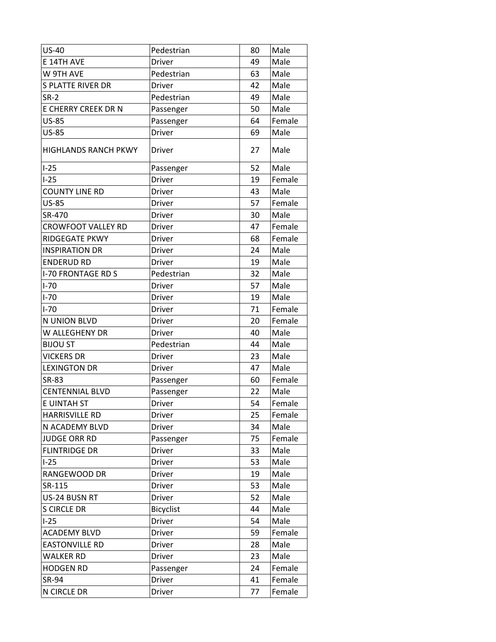| <b>US-40</b>                | Pedestrian       | 80 | Male   |
|-----------------------------|------------------|----|--------|
| E 14TH AVE                  | <b>Driver</b>    | 49 | Male   |
| W 9TH AVE                   | Pedestrian       | 63 | Male   |
| <b>S PLATTE RIVER DR</b>    | <b>Driver</b>    | 42 | Male   |
| $SR-2$                      | Pedestrian       | 49 | Male   |
| E CHERRY CREEK DR N         | Passenger        | 50 | Male   |
| <b>US-85</b>                | Passenger        | 64 | Female |
| <b>US-85</b>                | <b>Driver</b>    | 69 | Male   |
| <b>HIGHLANDS RANCH PKWY</b> | Driver           | 27 | Male   |
| $I-25$                      | Passenger        | 52 | Male   |
| $I-25$                      | <b>Driver</b>    | 19 | Female |
| <b>COUNTY LINE RD</b>       | Driver           | 43 | Male   |
| <b>US-85</b>                | Driver           | 57 | Female |
| SR-470                      | <b>Driver</b>    | 30 | Male   |
| <b>CROWFOOT VALLEY RD</b>   | Driver           | 47 | Female |
| <b>RIDGEGATE PKWY</b>       | <b>Driver</b>    | 68 | Female |
| <b>INSPIRATION DR</b>       | <b>Driver</b>    | 24 | Male   |
| <b>ENDERUD RD</b>           | <b>Driver</b>    | 19 | Male   |
| <b>I-70 FRONTAGE RD S</b>   | Pedestrian       | 32 | Male   |
| $I-70$                      | Driver           | 57 | Male   |
| $I-70$                      | Driver           | 19 | Male   |
| $1 - 70$                    | Driver           | 71 | Female |
| N UNION BLVD                | Driver           | 20 | Female |
| W ALLEGHENY DR              | Driver           | 40 | Male   |
| <b>BIJOU ST</b>             | Pedestrian       | 44 | Male   |
| <b>VICKERS DR</b>           | <b>Driver</b>    | 23 | Male   |
| <b>LEXINGTON DR</b>         | <b>Driver</b>    | 47 | Male   |
| <b>SR-83</b>                | Passenger        | 60 | Female |
| <b>CENTENNIAL BLVD</b>      | Passenger        | 22 | Male   |
| E UINTAH ST                 | <b>Driver</b>    | 54 | Female |
| <b>HARRISVILLE RD</b>       | Driver           | 25 | Female |
| N ACADEMY BLVD              | Driver           | 34 | Male   |
| <b>JUDGE ORR RD</b>         | Passenger        | 75 | Female |
| <b>FLINTRIDGE DR</b>        | <b>Driver</b>    | 33 | Male   |
| $I-25$                      | Driver           | 53 | Male   |
| RANGEWOOD DR                | Driver           | 19 | Male   |
| SR-115                      | Driver           | 53 | Male   |
| US-24 BUSN RT               | <b>Driver</b>    | 52 | Male   |
| <b>S CIRCLE DR</b>          | <b>Bicyclist</b> | 44 | Male   |
| $I-25$                      | <b>Driver</b>    | 54 | Male   |
| <b>ACADEMY BLVD</b>         | Driver           | 59 | Female |
| <b>EASTONVILLE RD</b>       | Driver           | 28 | Male   |
| <b>WALKER RD</b>            | <b>Driver</b>    | 23 | Male   |
| <b>HODGEN RD</b>            | Passenger        | 24 | Female |
| SR-94                       | Driver           | 41 | Female |
| N CIRCLE DR                 | Driver           | 77 | Female |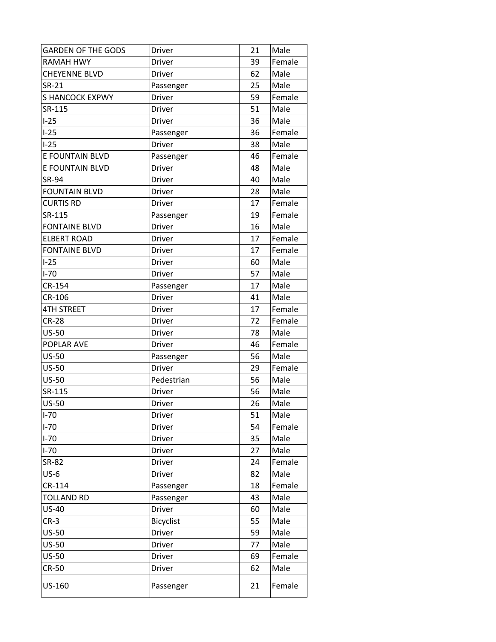| <b>GARDEN OF THE GODS</b> | Driver        | 21 | Male   |
|---------------------------|---------------|----|--------|
| <b>RAMAH HWY</b>          | Driver        | 39 | Female |
| <b>CHEYENNE BLVD</b>      | <b>Driver</b> | 62 | Male   |
| <b>SR-21</b>              | Passenger     | 25 | Male   |
| <b>S HANCOCK EXPWY</b>    | Driver        | 59 | Female |
| SR-115                    | Driver        | 51 | Male   |
| $I-25$                    | Driver        | 36 | Male   |
| $I-25$                    | Passenger     | 36 | Female |
| $I-25$                    | <b>Driver</b> | 38 | Male   |
| E FOUNTAIN BLVD           | Passenger     | 46 | Female |
| E FOUNTAIN BLVD           | <b>Driver</b> | 48 | Male   |
| SR-94                     | Driver        | 40 | Male   |
| <b>FOUNTAIN BLVD</b>      | Driver        | 28 | Male   |
| <b>CURTIS RD</b>          | Driver        | 17 | Female |
| SR-115                    | Passenger     | 19 | Female |
| <b>FONTAINE BLVD</b>      | <b>Driver</b> | 16 | Male   |
| <b>ELBERT ROAD</b>        | <b>Driver</b> | 17 | Female |
| <b>FONTAINE BLVD</b>      | <b>Driver</b> | 17 | Female |
| $I-25$                    | <b>Driver</b> | 60 | Male   |
| $I-70$                    | Driver        | 57 | Male   |
| CR-154                    | Passenger     | 17 | Male   |
| CR-106                    | <b>Driver</b> | 41 | Male   |
| <b>4TH STREET</b>         | Driver        | 17 | Female |
| <b>CR-28</b>              | Driver        | 72 | Female |
| <b>US-50</b>              | Driver        | 78 | Male   |
| POPLAR AVE                | Driver        | 46 | Female |
| <b>US-50</b>              | Passenger     | 56 | Male   |
| <b>US-50</b>              | <b>Driver</b> | 29 | Female |
| <b>US-50</b>              | Pedestrian    | 56 | Male   |
| SR-115                    | <b>Driver</b> | 56 | Male   |
| <b>US-50</b>              | <b>Driver</b> | 26 | Male   |
| $I-70$                    | Driver        | 51 | Male   |
| $I-70$                    | <b>Driver</b> | 54 | Female |
| $I-70$                    | Driver        | 35 | Male   |
| $I-70$                    | <b>Driver</b> | 27 | Male   |
| SR-82                     | <b>Driver</b> | 24 | Female |
| $US-6$                    | <b>Driver</b> | 82 | Male   |
| CR-114                    | Passenger     | 18 | Female |
| <b>TOLLAND RD</b>         | Passenger     | 43 | Male   |
| <b>US-40</b>              | <b>Driver</b> | 60 | Male   |
| $CR-3$                    | Bicyclist     | 55 | Male   |
| <b>US-50</b>              | <b>Driver</b> | 59 | Male   |
| <b>US-50</b>              | Driver        | 77 | Male   |
| <b>US-50</b>              | <b>Driver</b> | 69 | Female |
| <b>CR-50</b>              | Driver        | 62 | Male   |
| US-160                    | Passenger     | 21 | Female |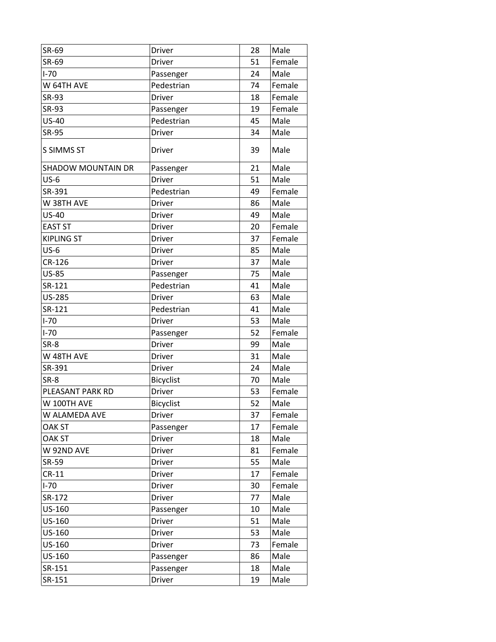| SR-69                     | Driver           | 28 | Male   |
|---------------------------|------------------|----|--------|
| SR-69                     | <b>Driver</b>    | 51 | Female |
| $I-70$                    | Passenger        | 24 | Male   |
| W 64TH AVE                | Pedestrian       | 74 | Female |
| SR-93                     | <b>Driver</b>    | 18 | Female |
| SR-93                     | Passenger        | 19 | Female |
| <b>US-40</b>              | Pedestrian       | 45 | Male   |
| <b>SR-95</b>              | <b>Driver</b>    | 34 | Male   |
| <b>S SIMMS ST</b>         | <b>Driver</b>    | 39 | Male   |
| <b>SHADOW MOUNTAIN DR</b> | Passenger        | 21 | Male   |
| $US-6$                    | <b>Driver</b>    | 51 | Male   |
| SR-391                    | Pedestrian       | 49 | Female |
| W 38TH AVE                | <b>Driver</b>    | 86 | Male   |
| <b>US-40</b>              | Driver           | 49 | Male   |
| <b>EAST ST</b>            | <b>Driver</b>    | 20 | Female |
| <b>KIPLING ST</b>         | <b>Driver</b>    | 37 | Female |
| $US-6$                    | <b>Driver</b>    | 85 | Male   |
| CR-126                    | Driver           | 37 | Male   |
| <b>US-85</b>              | Passenger        | 75 | Male   |
| SR-121                    | Pedestrian       | 41 | Male   |
| <b>US-285</b>             | Driver           | 63 | Male   |
| SR-121                    | Pedestrian       | 41 | Male   |
| $I-70$                    | <b>Driver</b>    | 53 | Male   |
| $I-70$                    | Passenger        | 52 | Female |
| SR-8                      | Driver           | 99 | Male   |
| W 48TH AVE                | Driver           | 31 | Male   |
| SR-391                    | Driver           | 24 | Male   |
| SR-8                      | Bicyclist        | 70 | Male   |
| PLEASANT PARK RD          | Driver           | 53 | Female |
| W 100TH AVE               | <b>Bicyclist</b> | 52 | Male   |
| W ALAMEDA AVE             | Driver           | 37 | Female |
| <b>OAK ST</b>             | Passenger        | 17 | Female |
| OAK ST                    | Driver           | 18 | Male   |
| W 92ND AVE                | <b>Driver</b>    | 81 | Female |
| SR-59                     | Driver           | 55 | Male   |
| $CR-11$                   | <b>Driver</b>    | 17 | Female |
| $I-70$                    | Driver           | 30 | Female |
| SR-172                    | Driver           | 77 | Male   |
| US-160                    | Passenger        | 10 | Male   |
| US-160                    | <b>Driver</b>    | 51 | Male   |
| US-160                    | Driver           | 53 | Male   |
| US-160                    | Driver           | 73 | Female |
| US-160                    | Passenger        | 86 | Male   |
| SR-151                    | Passenger        | 18 | Male   |
| SR-151                    | <b>Driver</b>    | 19 | Male   |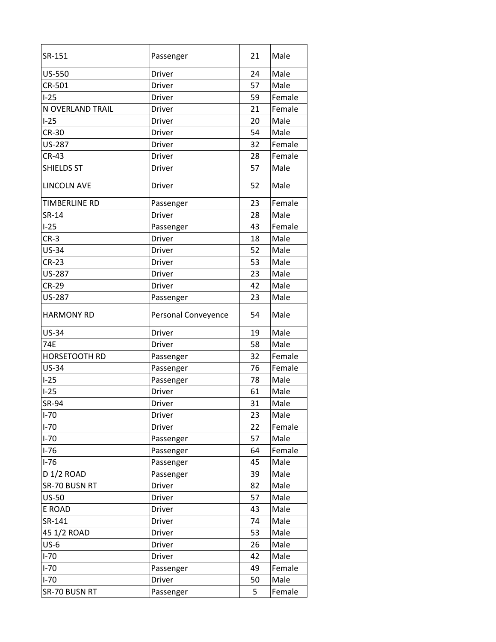| SR-151                 | Passenger              | 21 | Male   |
|------------------------|------------------------|----|--------|
| US-550                 | <b>Driver</b>          | 24 | Male   |
| CR-501                 | <b>Driver</b>          | 57 | Male   |
| $I-25$                 | <b>Driver</b>          | 59 | Female |
| N OVERLAND TRAIL       | Driver                 | 21 | Female |
| $I-25$                 | <b>Driver</b>          | 20 | Male   |
| <b>CR-30</b>           | <b>Driver</b>          | 54 | Male   |
| <b>US-287</b>          | <b>Driver</b>          | 32 | Female |
| <b>CR-43</b>           | <b>Driver</b>          | 28 | Female |
| <b>SHIELDS ST</b>      | <b>Driver</b>          | 57 | Male   |
| <b>LINCOLN AVE</b>     | <b>Driver</b>          | 52 | Male   |
| TIMBERLINE RD          | Passenger              | 23 | Female |
| SR-14                  | <b>Driver</b>          | 28 | Male   |
| $I-25$                 | Passenger              | 43 | Female |
| $CR-3$                 | <b>Driver</b>          | 18 | Male   |
| <b>US-34</b>           | <b>Driver</b>          | 52 | Male   |
| $CR-23$                | <b>Driver</b>          | 53 | Male   |
| <b>US-287</b>          | <b>Driver</b>          | 23 | Male   |
| <b>CR-29</b>           | Driver                 | 42 | Male   |
| <b>US-287</b>          | Passenger              | 23 | Male   |
| <b>HARMONY RD</b>      | Personal Conveyence    | 54 | Male   |
|                        |                        |    |        |
| <b>US-34</b>           | <b>Driver</b>          | 19 | Male   |
| <b>74E</b>             | <b>Driver</b>          | 58 | Male   |
| <b>HORSETOOTH RD</b>   |                        | 32 | Female |
| <b>US-34</b>           | Passenger<br>Passenger | 76 | Female |
| $I-25$                 | Passenger              | 78 | Male   |
| $I-25$                 | <b>Driver</b>          | 61 | Male   |
| <b>SR-94</b>           | <b>Driver</b>          | 31 | Male   |
| $I-70$                 | Driver                 | 23 | Male   |
| $I-70$                 | <b>Driver</b>          | 22 | Female |
| $I-70$                 | Passenger              | 57 | Male   |
| $I-76$                 | Passenger              | 64 | Female |
| $I-76$                 | Passenger              | 45 | Male   |
| D <sub>1</sub> /2 ROAD | Passenger              | 39 | Male   |
| SR-70 BUSN RT          | <b>Driver</b>          | 82 | Male   |
| <b>US-50</b>           | <b>Driver</b>          | 57 | Male   |
| E ROAD                 | <b>Driver</b>          | 43 | Male   |
| SR-141                 | <b>Driver</b>          | 74 | Male   |
| 45 1/2 ROAD            | Driver                 | 53 | Male   |
| $US-6$                 | <b>Driver</b>          | 26 | Male   |
| $I-70$                 | <b>Driver</b>          | 42 | Male   |
| $I-70$                 | Passenger              | 49 | Female |
| $I-70$                 | <b>Driver</b>          | 50 | Male   |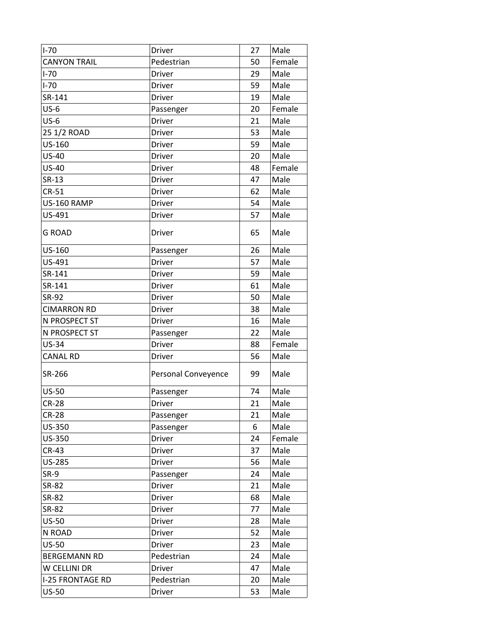| $I-70$                  | <b>Driver</b>       | 27 | Male   |
|-------------------------|---------------------|----|--------|
| <b>CANYON TRAIL</b>     | Pedestrian          | 50 | Female |
| $I-70$                  | <b>Driver</b>       | 29 | Male   |
| $I-70$                  | <b>Driver</b>       | 59 | Male   |
| SR-141                  | <b>Driver</b>       | 19 | Male   |
| $US-6$                  | Passenger           | 20 | Female |
| $US-6$                  | <b>Driver</b>       | 21 | Male   |
| 25 1/2 ROAD             | Driver              | 53 | Male   |
| US-160                  | <b>Driver</b>       | 59 | Male   |
| US-40                   | Driver              | 20 | Male   |
| <b>US-40</b>            | <b>Driver</b>       | 48 | Female |
| SR-13                   | Driver              | 47 | Male   |
| $CR-51$                 | <b>Driver</b>       | 62 | Male   |
| US-160 RAMP             | Driver              | 54 | Male   |
| US-491                  | <b>Driver</b>       | 57 | Male   |
| <b>G ROAD</b>           | Driver              | 65 | Male   |
| US-160                  | Passenger           | 26 | Male   |
| US-491                  | <b>Driver</b>       | 57 | Male   |
| SR-141                  | <b>Driver</b>       | 59 | Male   |
| SR-141                  | Driver              | 61 | Male   |
| SR-92                   | <b>Driver</b>       | 50 | Male   |
| <b>CIMARRON RD</b>      | <b>Driver</b>       | 38 | Male   |
| N PROSPECT ST           | Driver              | 16 | Male   |
| N PROSPECT ST           | Passenger           | 22 | Male   |
| <b>US-34</b>            | <b>Driver</b>       | 88 | Female |
| <b>CANAL RD</b>         | <b>Driver</b>       | 56 | Male   |
| SR-266                  | Personal Conveyence | 99 | Male   |
| <b>US-50</b>            | Passenger           | 74 | Male   |
| <b>CR-28</b>            | Driver              | 21 | Male   |
| <b>CR-28</b>            | Passenger           | 21 | Male   |
| US-350                  | Passenger           | 6  | Male   |
| US-350                  | <b>Driver</b>       | 24 | Female |
| <b>CR-43</b>            | <b>Driver</b>       | 37 | Male   |
| US-285                  | Driver              | 56 | Male   |
| <b>SR-9</b>             | Passenger           | 24 | Male   |
| SR-82                   | <b>Driver</b>       | 21 | Male   |
| <b>SR-82</b>            | <b>Driver</b>       | 68 | Male   |
| SR-82                   | <b>Driver</b>       | 77 | Male   |
| <b>US-50</b>            | <b>Driver</b>       | 28 | Male   |
| N ROAD                  | Driver              | 52 | Male   |
| US-50                   | <b>Driver</b>       | 23 | Male   |
| <b>BERGEMANN RD</b>     | Pedestrian          | 24 | Male   |
| W CELLINI DR            | <b>Driver</b>       | 47 | Male   |
| <b>I-25 FRONTAGE RD</b> | Pedestrian          | 20 | Male   |
| <b>US-50</b>            | <b>Driver</b>       | 53 | Male   |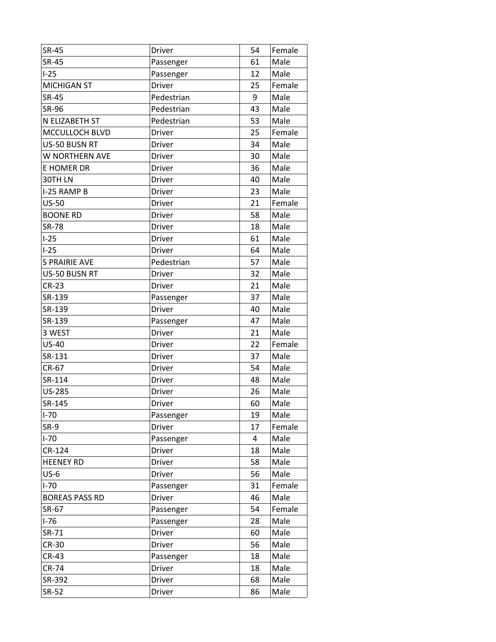| <b>SR-45</b>          | Driver        | 54 | Female |
|-----------------------|---------------|----|--------|
| <b>SR-45</b>          | Passenger     | 61 | Male   |
| $I-25$                | Passenger     | 12 | Male   |
| <b>MICHIGAN ST</b>    | Driver        | 25 | Female |
| <b>SR-45</b>          | Pedestrian    | 9  | Male   |
| SR-96                 | Pedestrian    | 43 | Male   |
| N ELIZABETH ST        | Pedestrian    | 53 | Male   |
| <b>MCCULLOCH BLVD</b> | <b>Driver</b> | 25 | Female |
| US-50 BUSN RT         | <b>Driver</b> | 34 | Male   |
| W NORTHERN AVE        | <b>Driver</b> | 30 | Male   |
| E HOMER DR            | Driver        | 36 | Male   |
| 30TH LN               | Driver        | 40 | Male   |
| I-25 RAMP B           | Driver        | 23 | Male   |
| $US-50$               | Driver        | 21 | Female |
| <b>BOONE RD</b>       | Driver        | 58 | Male   |
| <b>SR-78</b>          | <b>Driver</b> | 18 | Male   |
| $I-25$                | Driver        | 61 | Male   |
| $I-25$                | Driver        | 64 | Male   |
| <b>S PRAIRIE AVE</b>  | Pedestrian    | 57 | Male   |
| US-50 BUSN RT         | <b>Driver</b> | 32 | Male   |
| <b>CR-23</b>          | <b>Driver</b> | 21 | Male   |
| SR-139                | Passenger     | 37 | Male   |
| SR-139                | Driver        | 40 | Male   |
| SR-139                | Passenger     | 47 | Male   |
| 3 WEST                | Driver        | 21 | Male   |
| <b>US-40</b>          | Driver        | 22 | Female |
| SR-131                | Driver        | 37 | Male   |
| CR-67                 | Driver        | 54 | Male   |
| SR-114                | Driver        | 48 | Male   |
| <b>US-285</b>         | Driver        | 26 | Male   |
| SR-145                | <b>Driver</b> | 60 | Male   |
| $I-70$                | Passenger     | 19 | Male   |
| SR-9                  | Driver        | 17 | Female |
| $I-70$                | Passenger     | 4  | Male   |
| CR-124                | Driver        | 18 | Male   |
| <b>HEENEY RD</b>      | Driver        | 58 | Male   |
| $US-6$                | Driver        | 56 | Male   |
| $I-70$                | Passenger     | 31 | Female |
| <b>BOREAS PASS RD</b> | Driver        | 46 | Male   |
| SR-67                 | Passenger     | 54 | Female |
| $I-76$                | Passenger     | 28 | Male   |
| SR-71                 | Driver        | 60 | Male   |
| <b>CR-30</b>          | Driver        | 56 | Male   |
| <b>CR-43</b>          | Passenger     | 18 | Male   |
| <b>CR-74</b>          | Driver        | 18 | Male   |
| SR-392                | <b>Driver</b> | 68 | Male   |
| SR-52                 | <b>Driver</b> | 86 | Male   |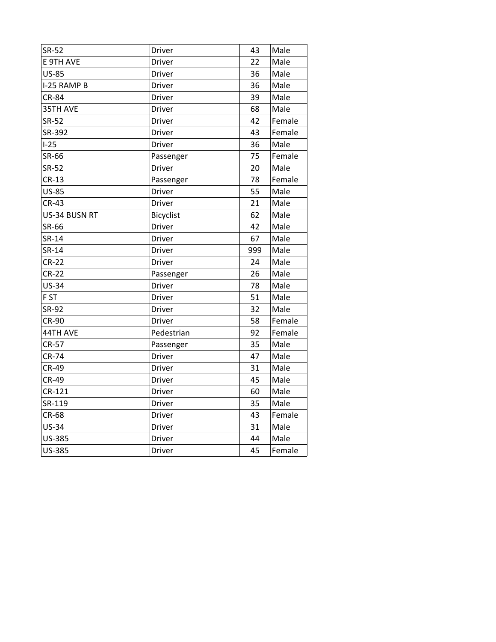| SR-52         | Driver           | 43  | Male   |
|---------------|------------------|-----|--------|
| E 9TH AVE     | <b>Driver</b>    | 22  | Male   |
| <b>US-85</b>  | <b>Driver</b>    | 36  | Male   |
| I-25 RAMP B   | Driver           | 36  | Male   |
| <b>CR-84</b>  | Driver           | 39  | Male   |
| 35TH AVE      | Driver           | 68  | Male   |
| SR-52         | <b>Driver</b>    | 42  | Female |
| SR-392        | <b>Driver</b>    | 43  | Female |
| $I-25$        | Driver           | 36  | Male   |
| SR-66         | Passenger        | 75  | Female |
| <b>SR-52</b>  | <b>Driver</b>    | 20  | Male   |
| $CR-13$       | Passenger        | 78  | Female |
| <b>US-85</b>  | Driver           | 55  | Male   |
| $CR-43$       | Driver           | 21  | Male   |
| US-34 BUSN RT | <b>Bicyclist</b> | 62  | Male   |
| SR-66         | <b>Driver</b>    | 42  | Male   |
| SR-14         | <b>Driver</b>    | 67  | Male   |
| SR-14         | <b>Driver</b>    | 999 | Male   |
| $CR-22$       | <b>Driver</b>    | 24  | Male   |
| $CR-22$       | Passenger        | 26  | Male   |
| <b>US-34</b>  | <b>Driver</b>    | 78  | Male   |
| F ST          | <b>Driver</b>    | 51  | Male   |
| SR-92         | <b>Driver</b>    | 32  | Male   |
| <b>CR-90</b>  | Driver           | 58  | Female |
| 44TH AVE      | Pedestrian       | 92  | Female |
| <b>CR-57</b>  | Passenger        | 35  | Male   |
| <b>CR-74</b>  | Driver           | 47  | Male   |
| <b>CR-49</b>  | Driver           | 31  | Male   |
| <b>CR-49</b>  | Driver           | 45  | Male   |
| CR-121        | <b>Driver</b>    | 60  | Male   |
| SR-119        | Driver           | 35  | Male   |
| <b>CR-68</b>  | Driver           | 43  | Female |
| <b>US-34</b>  | Driver           | 31  | Male   |
| <b>US-385</b> | Driver           | 44  | Male   |
| <b>US-385</b> | Driver           | 45  | Female |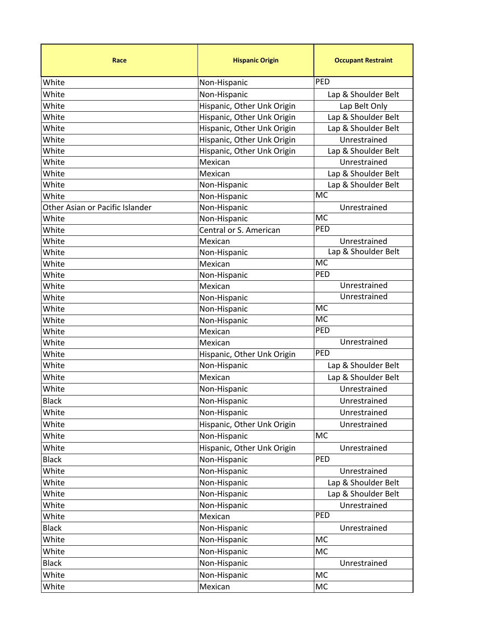| Race                            | <b>Hispanic Origin</b>       | <b>Occupant Restraint</b>        |
|---------------------------------|------------------------------|----------------------------------|
| White                           | Non-Hispanic                 | PED                              |
| White                           | Non-Hispanic                 | Lap & Shoulder Belt              |
| White                           | Hispanic, Other Unk Origin   | Lap Belt Only                    |
| White                           | Hispanic, Other Unk Origin   | Lap & Shoulder Belt              |
| White                           | Hispanic, Other Unk Origin   | Lap & Shoulder Belt              |
| White                           | Hispanic, Other Unk Origin   | Unrestrained                     |
| White                           | Hispanic, Other Unk Origin   | Lap & Shoulder Belt              |
| White                           | Mexican                      | Unrestrained                     |
| White                           | Mexican                      | Lap & Shoulder Belt              |
| White                           | Non-Hispanic                 | Lap & Shoulder Belt              |
| White                           | Non-Hispanic                 | <b>MC</b>                        |
| Other Asian or Pacific Islander | Non-Hispanic                 | Unrestrained                     |
| White                           | Non-Hispanic                 | <b>MC</b>                        |
| White                           | Central or S. American       | PED                              |
| White                           | Mexican                      | Unrestrained                     |
| White                           | Non-Hispanic                 | Lap & Shoulder Belt<br><b>MC</b> |
| White                           | Mexican                      | PED                              |
| White                           | Non-Hispanic                 | Unrestrained                     |
| White                           | Mexican                      | Unrestrained                     |
| White                           | Non-Hispanic                 | <b>MC</b>                        |
| White                           | Non-Hispanic                 | <b>MC</b>                        |
| White<br>White                  | Non-Hispanic<br>Mexican      | PED                              |
| White                           | Mexican                      | Unrestrained                     |
| White                           | Hispanic, Other Unk Origin   | PED                              |
| White                           | Non-Hispanic                 | Lap & Shoulder Belt              |
| White                           | Mexican                      | Lap & Shoulder Belt              |
| White                           |                              | Unrestrained                     |
| <b>Black</b>                    | Non-Hispanic<br>Non-Hispanic | Unrestrained                     |
|                                 |                              |                                  |
| White                           | Non-Hispanic                 | Unrestrained                     |
| White                           | Hispanic, Other Unk Origin   | Unrestrained<br><b>MC</b>        |
| White                           | Non-Hispanic                 |                                  |
| White                           | Hispanic, Other Unk Origin   | Unrestrained                     |
| <b>Black</b>                    | Non-Hispanic                 | PED                              |
| White                           | Non-Hispanic                 | Unrestrained                     |
| White                           | Non-Hispanic                 | Lap & Shoulder Belt              |
| White<br>White                  | Non-Hispanic                 | Lap & Shoulder Belt              |
| White                           | Non-Hispanic<br>Mexican      | Unrestrained<br>PED              |
|                                 |                              |                                  |
| <b>Black</b>                    | Non-Hispanic                 | Unrestrained                     |
| White                           | Non-Hispanic                 | MC                               |
| White                           | Non-Hispanic                 | MC                               |
| <b>Black</b>                    | Non-Hispanic                 | Unrestrained                     |
| White                           | Non-Hispanic                 | MC                               |
| White                           | Mexican                      | MC                               |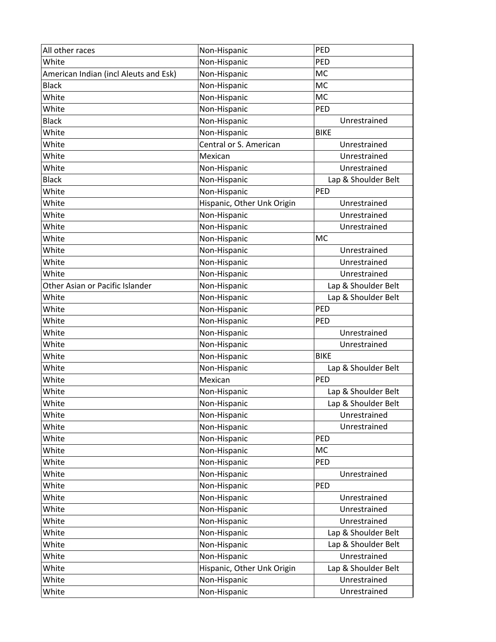| All other races                       | Non-Hispanic               | PED                 |
|---------------------------------------|----------------------------|---------------------|
| White                                 | Non-Hispanic               | PED                 |
| American Indian (incl Aleuts and Esk) | Non-Hispanic               | MC                  |
| <b>Black</b>                          | Non-Hispanic               | <b>MC</b>           |
| White                                 | Non-Hispanic               | <b>MC</b>           |
| White                                 | Non-Hispanic               | PED                 |
| <b>Black</b>                          | Non-Hispanic               | Unrestrained        |
| White                                 | Non-Hispanic               | <b>BIKE</b>         |
| White                                 | Central or S. American     | Unrestrained        |
| White                                 | Mexican                    | Unrestrained        |
| White                                 | Non-Hispanic               | Unrestrained        |
| <b>Black</b>                          | Non-Hispanic               | Lap & Shoulder Belt |
| White                                 | Non-Hispanic               | PED                 |
| White                                 | Hispanic, Other Unk Origin | Unrestrained        |
| White                                 | Non-Hispanic               | Unrestrained        |
| White                                 | Non-Hispanic               | Unrestrained        |
| White                                 | Non-Hispanic               | <b>MC</b>           |
| White                                 | Non-Hispanic               | Unrestrained        |
| White                                 | Non-Hispanic               | Unrestrained        |
| White                                 | Non-Hispanic               | Unrestrained        |
| Other Asian or Pacific Islander       | Non-Hispanic               | Lap & Shoulder Belt |
| White                                 | Non-Hispanic               | Lap & Shoulder Belt |
| White                                 | Non-Hispanic               | PED                 |
| White                                 | Non-Hispanic               | <b>PED</b>          |
| White                                 | Non-Hispanic               | Unrestrained        |
| White                                 | Non-Hispanic               | Unrestrained        |
| White                                 | Non-Hispanic               | <b>BIKE</b>         |
| White                                 | Non-Hispanic               | Lap & Shoulder Belt |
| White                                 | Mexican                    | PED                 |
| White                                 | Non-Hispanic               | Lap & Shoulder Belt |
| White                                 | Non-Hispanic               | Lap & Shoulder Belt |
| White                                 | Non-Hispanic               | Unrestrained        |
| White                                 | Non-Hispanic               | Unrestrained        |
| White                                 | Non-Hispanic               | PED                 |
| White                                 | Non-Hispanic               | <b>MC</b>           |
| White                                 | Non-Hispanic               | PED                 |
| White                                 | Non-Hispanic               | Unrestrained        |
| White                                 | Non-Hispanic               | PED                 |
| White                                 | Non-Hispanic               | Unrestrained        |
| White                                 | Non-Hispanic               | Unrestrained        |
| White                                 | Non-Hispanic               | Unrestrained        |
| White                                 | Non-Hispanic               | Lap & Shoulder Belt |
| White                                 | Non-Hispanic               | Lap & Shoulder Belt |
| White                                 | Non-Hispanic               | Unrestrained        |
| White                                 | Hispanic, Other Unk Origin | Lap & Shoulder Belt |
| White                                 | Non-Hispanic               | Unrestrained        |
| White                                 | Non-Hispanic               | Unrestrained        |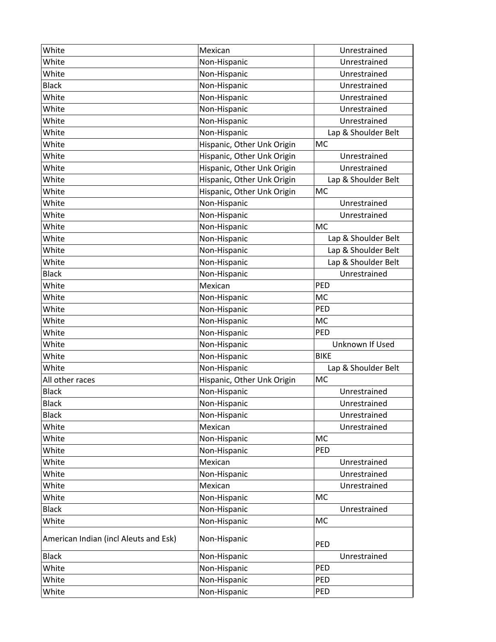| White                                 | Mexican                    | Unrestrained        |
|---------------------------------------|----------------------------|---------------------|
| White                                 | Non-Hispanic               | Unrestrained        |
| White                                 | Non-Hispanic               | Unrestrained        |
| <b>Black</b>                          | Non-Hispanic               | Unrestrained        |
| White                                 | Non-Hispanic               | Unrestrained        |
| White                                 | Non-Hispanic               | Unrestrained        |
| White                                 | Non-Hispanic               | Unrestrained        |
| White                                 | Non-Hispanic               | Lap & Shoulder Belt |
| White                                 | Hispanic, Other Unk Origin | MC                  |
| White                                 | Hispanic, Other Unk Origin | Unrestrained        |
| White                                 | Hispanic, Other Unk Origin | Unrestrained        |
| White                                 | Hispanic, Other Unk Origin | Lap & Shoulder Belt |
| White                                 | Hispanic, Other Unk Origin | MC                  |
| White                                 | Non-Hispanic               | Unrestrained        |
| White                                 | Non-Hispanic               | Unrestrained        |
| White                                 | Non-Hispanic               | MC                  |
| White                                 | Non-Hispanic               | Lap & Shoulder Belt |
| White                                 | Non-Hispanic               | Lap & Shoulder Belt |
| White                                 | Non-Hispanic               | Lap & Shoulder Belt |
| <b>Black</b>                          | Non-Hispanic               | Unrestrained        |
| White                                 | Mexican                    | PED                 |
| White                                 | Non-Hispanic               | <b>MC</b>           |
| White                                 | Non-Hispanic               | PED                 |
| White                                 | Non-Hispanic               | <b>MC</b>           |
| White                                 | Non-Hispanic               | PED                 |
| White                                 | Non-Hispanic               | Unknown If Used     |
| White                                 | Non-Hispanic               | <b>BIKE</b>         |
| White                                 | Non-Hispanic               | Lap & Shoulder Belt |
| All other races                       | Hispanic, Other Unk Origin | MC                  |
| <b>Black</b>                          | Non-Hispanic               | Unrestrained        |
| <b>Black</b>                          | Non-Hispanic               | Unrestrained        |
| <b>Black</b>                          | Non-Hispanic               | Unrestrained        |
| White                                 | Mexican                    | Unrestrained        |
| White                                 | Non-Hispanic               | MC                  |
| White                                 | Non-Hispanic               | PED                 |
| White                                 | Mexican                    | Unrestrained        |
| White                                 | Non-Hispanic               | Unrestrained        |
| White                                 | Mexican                    | Unrestrained        |
| White                                 | Non-Hispanic               | MC                  |
| <b>Black</b>                          | Non-Hispanic               | Unrestrained        |
| White                                 | Non-Hispanic               | MC                  |
| American Indian (incl Aleuts and Esk) | Non-Hispanic               | PED                 |
| <b>Black</b>                          | Non-Hispanic               | Unrestrained        |
| White                                 | Non-Hispanic               | PED                 |
| White                                 | Non-Hispanic               | PED                 |
| White                                 | Non-Hispanic               | PED                 |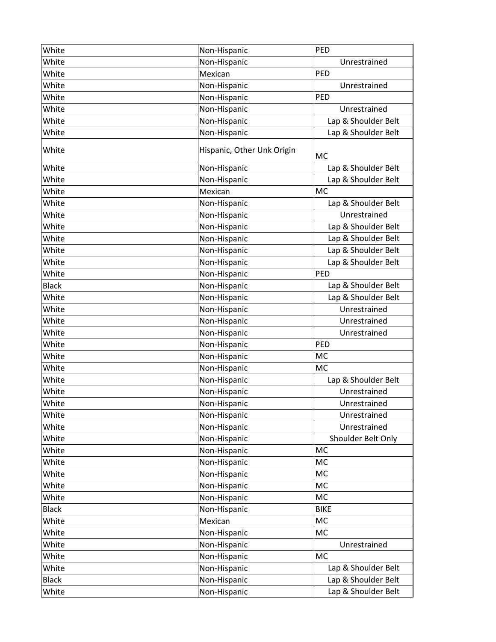| White        | Non-Hispanic               | PED                 |
|--------------|----------------------------|---------------------|
| White        | Non-Hispanic               | Unrestrained        |
| White        | Mexican                    | PED                 |
| White        | Non-Hispanic               | Unrestrained        |
| White        | Non-Hispanic               | PED                 |
| White        | Non-Hispanic               | Unrestrained        |
| White        | Non-Hispanic               | Lap & Shoulder Belt |
| White        | Non-Hispanic               | Lap & Shoulder Belt |
| White        | Hispanic, Other Unk Origin | MC                  |
| White        | Non-Hispanic               | Lap & Shoulder Belt |
| White        | Non-Hispanic               | Lap & Shoulder Belt |
| White        | Mexican                    | MC                  |
| White        | Non-Hispanic               | Lap & Shoulder Belt |
| White        | Non-Hispanic               | Unrestrained        |
| White        | Non-Hispanic               | Lap & Shoulder Belt |
| White        | Non-Hispanic               | Lap & Shoulder Belt |
| White        | Non-Hispanic               | Lap & Shoulder Belt |
| White        | Non-Hispanic               | Lap & Shoulder Belt |
| White        | Non-Hispanic               | PED                 |
| <b>Black</b> | Non-Hispanic               | Lap & Shoulder Belt |
| White        | Non-Hispanic               | Lap & Shoulder Belt |
| White        | Non-Hispanic               | Unrestrained        |
| White        | Non-Hispanic               | Unrestrained        |
| White        | Non-Hispanic               | Unrestrained        |
| White        | Non-Hispanic               | PED                 |
| White        | Non-Hispanic               | MC                  |
| White        | Non-Hispanic               | MC                  |
| White        | Non-Hispanic               | Lap & Shoulder Belt |
| White        | Non-Hispanic               | Unrestrained        |
| White        | Non-Hispanic               | Unrestrained        |
| White        | Non-Hispanic               | Unrestrained        |
| White        | Non-Hispanic               | Unrestrained        |
| White        | Non-Hispanic               | Shoulder Belt Only  |
| White        | Non-Hispanic               | MC                  |
| White        | Non-Hispanic               | MC                  |
| White        | Non-Hispanic               | MC                  |
| White        | Non-Hispanic               | MC                  |
| White        | Non-Hispanic               | MC                  |
| <b>Black</b> | Non-Hispanic               | <b>BIKE</b>         |
| White        | Mexican                    | <b>MC</b>           |
| White        | Non-Hispanic               | MC                  |
| White        | Non-Hispanic               | Unrestrained        |
| White        | Non-Hispanic               | MC                  |
| White        | Non-Hispanic               | Lap & Shoulder Belt |
| <b>Black</b> | Non-Hispanic               | Lap & Shoulder Belt |
| White        | Non-Hispanic               | Lap & Shoulder Belt |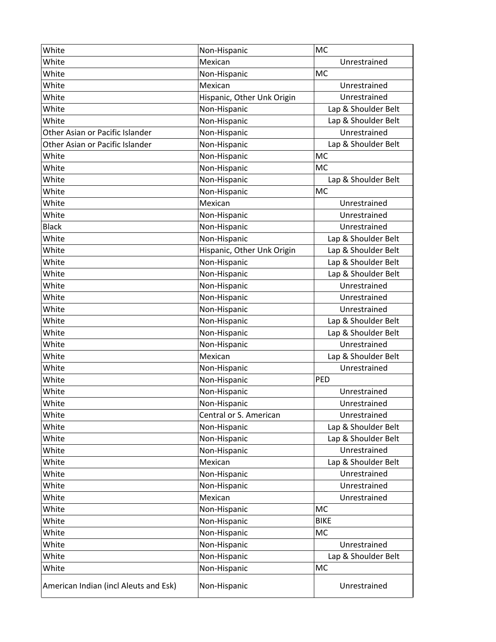| White                                 | Non-Hispanic               | MC                  |
|---------------------------------------|----------------------------|---------------------|
| White                                 | Mexican                    | Unrestrained        |
| White                                 | Non-Hispanic               | <b>MC</b>           |
| White                                 | Mexican                    | Unrestrained        |
| White                                 | Hispanic, Other Unk Origin | Unrestrained        |
| White                                 | Non-Hispanic               | Lap & Shoulder Belt |
| White                                 | Non-Hispanic               | Lap & Shoulder Belt |
| Other Asian or Pacific Islander       | Non-Hispanic               | Unrestrained        |
| Other Asian or Pacific Islander       | Non-Hispanic               | Lap & Shoulder Belt |
| White                                 | Non-Hispanic               | <b>MC</b>           |
| White                                 | Non-Hispanic               | <b>MC</b>           |
| White                                 | Non-Hispanic               | Lap & Shoulder Belt |
| White                                 | Non-Hispanic               | MC                  |
| White                                 | Mexican                    | Unrestrained        |
| White                                 | Non-Hispanic               | Unrestrained        |
| <b>Black</b>                          | Non-Hispanic               | Unrestrained        |
| White                                 | Non-Hispanic               | Lap & Shoulder Belt |
| White                                 | Hispanic, Other Unk Origin | Lap & Shoulder Belt |
| White                                 | Non-Hispanic               | Lap & Shoulder Belt |
| White                                 | Non-Hispanic               | Lap & Shoulder Belt |
| White                                 | Non-Hispanic               | Unrestrained        |
| White                                 | Non-Hispanic               | Unrestrained        |
| White                                 | Non-Hispanic               | Unrestrained        |
| White                                 | Non-Hispanic               | Lap & Shoulder Belt |
| White                                 | Non-Hispanic               | Lap & Shoulder Belt |
| White                                 | Non-Hispanic               | Unrestrained        |
| White                                 | Mexican                    | Lap & Shoulder Belt |
| White                                 | Non-Hispanic               | Unrestrained        |
| White                                 | Non-Hispanic               | PED                 |
| White                                 | Non-Hispanic               | Unrestrained        |
| White                                 | Non-Hispanic               | Unrestrained        |
| White                                 | Central or S. American     | Unrestrained        |
| White                                 | Non-Hispanic               | Lap & Shoulder Belt |
| White                                 | Non-Hispanic               | Lap & Shoulder Belt |
| White                                 | Non-Hispanic               | Unrestrained        |
| White                                 | Mexican                    | Lap & Shoulder Belt |
| White                                 | Non-Hispanic               | Unrestrained        |
| White                                 | Non-Hispanic               | Unrestrained        |
| White                                 | Mexican                    | Unrestrained        |
| White                                 | Non-Hispanic               | <b>MC</b>           |
| White                                 | Non-Hispanic               | <b>BIKE</b>         |
| White                                 | Non-Hispanic               | <b>MC</b>           |
| White                                 | Non-Hispanic               | Unrestrained        |
| White                                 | Non-Hispanic               | Lap & Shoulder Belt |
| White                                 | Non-Hispanic               | MC                  |
| American Indian (incl Aleuts and Esk) | Non-Hispanic               | Unrestrained        |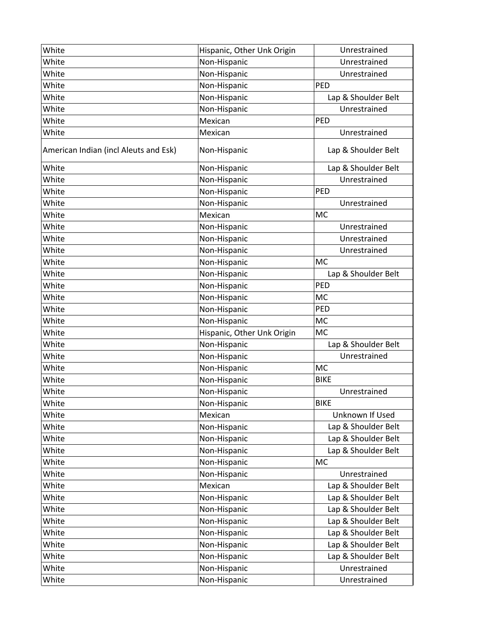| White                                 | Hispanic, Other Unk Origin | Unrestrained        |
|---------------------------------------|----------------------------|---------------------|
| White                                 | Non-Hispanic               | Unrestrained        |
| White                                 | Non-Hispanic               | Unrestrained        |
| White                                 | Non-Hispanic               | PED                 |
| White                                 | Non-Hispanic               | Lap & Shoulder Belt |
| White                                 | Non-Hispanic               | Unrestrained        |
| White                                 | Mexican                    | PED                 |
| White                                 | Mexican                    | Unrestrained        |
| American Indian (incl Aleuts and Esk) | Non-Hispanic               | Lap & Shoulder Belt |
| White                                 | Non-Hispanic               | Lap & Shoulder Belt |
| White                                 | Non-Hispanic               | Unrestrained        |
| White                                 | Non-Hispanic               | PED                 |
| White                                 | Non-Hispanic               | Unrestrained        |
| White                                 | Mexican                    | MC                  |
| White                                 | Non-Hispanic               | Unrestrained        |
| White                                 | Non-Hispanic               | Unrestrained        |
| White                                 | Non-Hispanic               | Unrestrained        |
| White                                 | Non-Hispanic               | <b>MC</b>           |
| White                                 | Non-Hispanic               | Lap & Shoulder Belt |
| White                                 | Non-Hispanic               | PED                 |
| White                                 | Non-Hispanic               | MC                  |
| White                                 | Non-Hispanic               | PED                 |
| White                                 | Non-Hispanic               | <b>MC</b>           |
| White                                 | Hispanic, Other Unk Origin | MC                  |
| White                                 | Non-Hispanic               | Lap & Shoulder Belt |
| White                                 | Non-Hispanic               | Unrestrained        |
| White                                 | Non-Hispanic               | MC                  |
| White                                 | Non-Hispanic               | <b>BIKE</b>         |
| White                                 | Non-Hispanic               | Unrestrained        |
| White                                 | Non-Hispanic               | <b>BIKE</b>         |
| White                                 | Mexican                    | Unknown If Used     |
| White                                 | Non-Hispanic               | Lap & Shoulder Belt |
| White                                 | Non-Hispanic               | Lap & Shoulder Belt |
| White                                 | Non-Hispanic               | Lap & Shoulder Belt |
| White                                 | Non-Hispanic               | MC                  |
| White                                 | Non-Hispanic               | Unrestrained        |
| White                                 | Mexican                    | Lap & Shoulder Belt |
| White                                 | Non-Hispanic               | Lap & Shoulder Belt |
| White                                 | Non-Hispanic               | Lap & Shoulder Belt |
| White                                 | Non-Hispanic               | Lap & Shoulder Belt |
| White                                 | Non-Hispanic               | Lap & Shoulder Belt |
| White                                 | Non-Hispanic               | Lap & Shoulder Belt |
| White                                 | Non-Hispanic               | Lap & Shoulder Belt |
| White                                 | Non-Hispanic               | Unrestrained        |
| White                                 | Non-Hispanic               | Unrestrained        |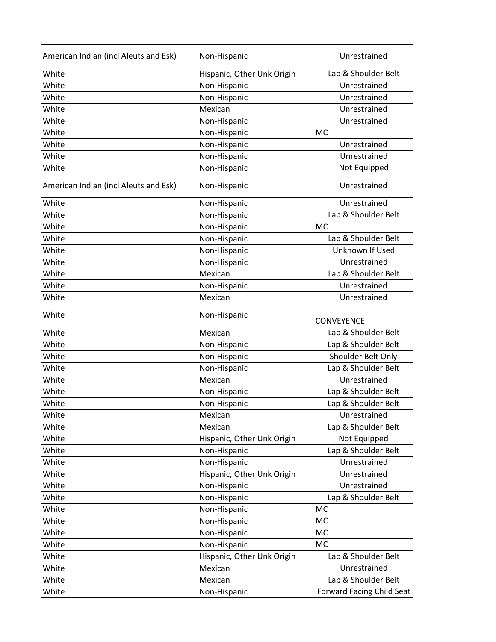| American Indian (incl Aleuts and Esk) | Non-Hispanic               | Unrestrained                     |
|---------------------------------------|----------------------------|----------------------------------|
| White                                 | Hispanic, Other Unk Origin | Lap & Shoulder Belt              |
| White                                 | Non-Hispanic               | Unrestrained                     |
| White                                 | Non-Hispanic               | Unrestrained                     |
| White                                 | Mexican                    | Unrestrained                     |
| White                                 | Non-Hispanic               | Unrestrained                     |
| White                                 | Non-Hispanic               | <b>MC</b>                        |
| White                                 | Non-Hispanic               | Unrestrained                     |
| White                                 | Non-Hispanic               | Unrestrained                     |
| White                                 | Non-Hispanic               | Not Equipped                     |
| American Indian (incl Aleuts and Esk) | Non-Hispanic               | Unrestrained                     |
| White                                 | Non-Hispanic               | Unrestrained                     |
| White                                 | Non-Hispanic               | Lap & Shoulder Belt              |
| White                                 | Non-Hispanic               | <b>MC</b>                        |
| White                                 | Non-Hispanic               | Lap & Shoulder Belt              |
| White                                 | Non-Hispanic               | Unknown If Used                  |
| White                                 | Non-Hispanic               | Unrestrained                     |
| White                                 | Mexican                    | Lap & Shoulder Belt              |
| White                                 | Non-Hispanic               | Unrestrained                     |
| White                                 | Mexican                    | Unrestrained                     |
| White                                 | Non-Hispanic               | CONVEYENCE                       |
| White                                 | Mexican                    | Lap & Shoulder Belt              |
| White                                 | Non-Hispanic               | Lap & Shoulder Belt              |
| White                                 | Non-Hispanic               | Shoulder Belt Only               |
| White                                 | Non-Hispanic               | Lap & Shoulder Belt              |
| White                                 | Mexican                    | Unrestrained                     |
| White                                 | Non-Hispanic               | Lap & Shoulder Belt              |
| White                                 | Non-Hispanic               | Lap & Shoulder Belt              |
| White                                 | Mexican                    | Unrestrained                     |
| White                                 | Mexican                    | Lap & Shoulder Belt              |
| White                                 | Hispanic, Other Unk Origin | Not Equipped                     |
| White                                 | Non-Hispanic               | Lap & Shoulder Belt              |
| White                                 | Non-Hispanic               | Unrestrained                     |
| White                                 | Hispanic, Other Unk Origin | Unrestrained                     |
| White                                 | Non-Hispanic               | Unrestrained                     |
| White                                 | Non-Hispanic               | Lap & Shoulder Belt              |
| White                                 | Non-Hispanic               | MC                               |
| White                                 | Non-Hispanic               | <b>MC</b>                        |
| White                                 | Non-Hispanic               | <b>MC</b>                        |
| White                                 | Non-Hispanic               | <b>MC</b>                        |
| White                                 | Hispanic, Other Unk Origin | Lap & Shoulder Belt              |
| White                                 | Mexican                    | Unrestrained                     |
| White                                 | Mexican                    | Lap & Shoulder Belt              |
| White                                 | Non-Hispanic               | <b>Forward Facing Child Seat</b> |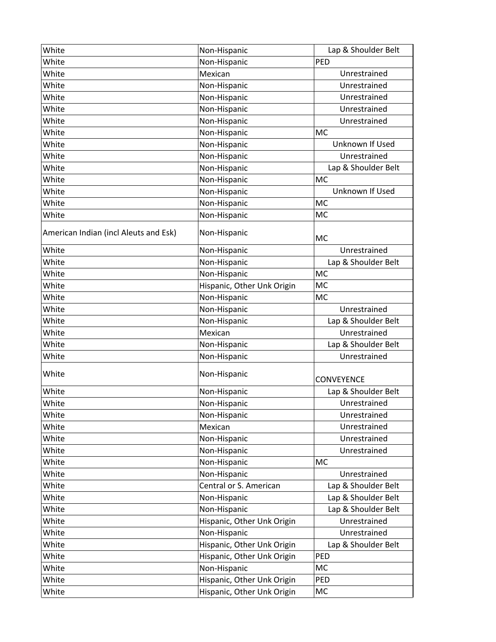| White                                 | Non-Hispanic               | Lap & Shoulder Belt |
|---------------------------------------|----------------------------|---------------------|
| White                                 | Non-Hispanic               | PED                 |
| White                                 | Mexican                    | Unrestrained        |
| White                                 | Non-Hispanic               | Unrestrained        |
| White                                 | Non-Hispanic               | Unrestrained        |
| White                                 | Non-Hispanic               | Unrestrained        |
| White                                 | Non-Hispanic               | Unrestrained        |
| White                                 | Non-Hispanic               | <b>MC</b>           |
| White                                 | Non-Hispanic               | Unknown If Used     |
| White                                 | Non-Hispanic               | Unrestrained        |
| White                                 | Non-Hispanic               | Lap & Shoulder Belt |
| White                                 | Non-Hispanic               | MC                  |
| White                                 | Non-Hispanic               | Unknown If Used     |
| White                                 | Non-Hispanic               | <b>MC</b>           |
| White                                 | Non-Hispanic               | MC                  |
| American Indian (incl Aleuts and Esk) | Non-Hispanic               | <b>MC</b>           |
| White                                 | Non-Hispanic               | Unrestrained        |
| White                                 | Non-Hispanic               | Lap & Shoulder Belt |
| White                                 | Non-Hispanic               | <b>MC</b>           |
| White                                 | Hispanic, Other Unk Origin | <b>MC</b>           |
| White                                 | Non-Hispanic               | <b>MC</b>           |
| White                                 | Non-Hispanic               | Unrestrained        |
| White                                 | Non-Hispanic               | Lap & Shoulder Belt |
| White                                 | Mexican                    | Unrestrained        |
| White                                 | Non-Hispanic               | Lap & Shoulder Belt |
| White                                 | Non-Hispanic               | Unrestrained        |
| White                                 | Non-Hispanic               | <b>CONVEYENCE</b>   |
| White                                 | Non-Hispanic               | Lap & Shoulder Belt |
| White                                 | Non-Hispanic               | Unrestrained        |
| White                                 | Non-Hispanic               | Unrestrained        |
| White                                 | Mexican                    | Unrestrained        |
| White                                 | Non-Hispanic               | Unrestrained        |
| White                                 | Non-Hispanic               | Unrestrained        |
| White                                 | Non-Hispanic               | <b>MC</b>           |
| White                                 | Non-Hispanic               | Unrestrained        |
| White                                 | Central or S. American     | Lap & Shoulder Belt |
| White                                 | Non-Hispanic               | Lap & Shoulder Belt |
| White                                 | Non-Hispanic               | Lap & Shoulder Belt |
| White                                 | Hispanic, Other Unk Origin | Unrestrained        |
| White                                 | Non-Hispanic               | Unrestrained        |
| White                                 | Hispanic, Other Unk Origin | Lap & Shoulder Belt |
| White                                 | Hispanic, Other Unk Origin | PED                 |
| White                                 | Non-Hispanic               | <b>MC</b>           |
| White                                 | Hispanic, Other Unk Origin | PED                 |
| White                                 | Hispanic, Other Unk Origin | MC                  |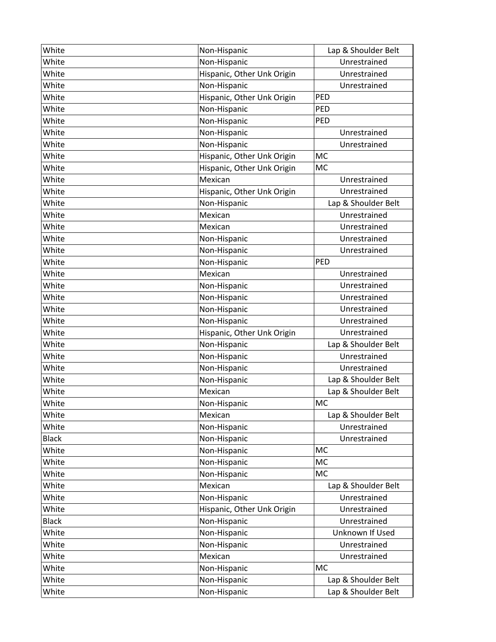| White        | Non-Hispanic               | Lap & Shoulder Belt |
|--------------|----------------------------|---------------------|
| White        | Non-Hispanic               | Unrestrained        |
| White        | Hispanic, Other Unk Origin | Unrestrained        |
| White        | Non-Hispanic               | Unrestrained        |
| White        | Hispanic, Other Unk Origin | PED                 |
| White        | Non-Hispanic               | PED                 |
| White        | Non-Hispanic               | PED                 |
| White        | Non-Hispanic               | Unrestrained        |
| White        | Non-Hispanic               | Unrestrained        |
| White        | Hispanic, Other Unk Origin | MC                  |
| White        | Hispanic, Other Unk Origin | MC                  |
| White        | Mexican                    | Unrestrained        |
| White        | Hispanic, Other Unk Origin | Unrestrained        |
| White        | Non-Hispanic               | Lap & Shoulder Belt |
| White        | Mexican                    | Unrestrained        |
| White        | Mexican                    | Unrestrained        |
| White        | Non-Hispanic               | Unrestrained        |
| White        | Non-Hispanic               | Unrestrained        |
| White        | Non-Hispanic               | PED                 |
| White        | Mexican                    | Unrestrained        |
| White        | Non-Hispanic               | Unrestrained        |
| White        | Non-Hispanic               | Unrestrained        |
| White        | Non-Hispanic               | Unrestrained        |
| White        | Non-Hispanic               | Unrestrained        |
| White        | Hispanic, Other Unk Origin | Unrestrained        |
| White        | Non-Hispanic               | Lap & Shoulder Belt |
| White        | Non-Hispanic               | Unrestrained        |
| White        | Non-Hispanic               | Unrestrained        |
| White        | Non-Hispanic               | Lap & Shoulder Belt |
| White        | Mexican                    | Lap & Shoulder Belt |
| White        | Non-Hispanic               | MC                  |
| White        | Mexican                    | Lap & Shoulder Belt |
| White        | Non-Hispanic               | Unrestrained        |
| <b>Black</b> | Non-Hispanic               | Unrestrained        |
| White        | Non-Hispanic               | MC                  |
| White        | Non-Hispanic               | <b>MC</b>           |
| White        | Non-Hispanic               | <b>MC</b>           |
| White        | Mexican                    | Lap & Shoulder Belt |
| White        | Non-Hispanic               | Unrestrained        |
| White        | Hispanic, Other Unk Origin | Unrestrained        |
| <b>Black</b> | Non-Hispanic               | Unrestrained        |
| White        | Non-Hispanic               | Unknown If Used     |
| White        | Non-Hispanic               | Unrestrained        |
| White        | Mexican                    | Unrestrained        |
| White        | Non-Hispanic               | <b>MC</b>           |
| White        | Non-Hispanic               | Lap & Shoulder Belt |
| White        | Non-Hispanic               | Lap & Shoulder Belt |